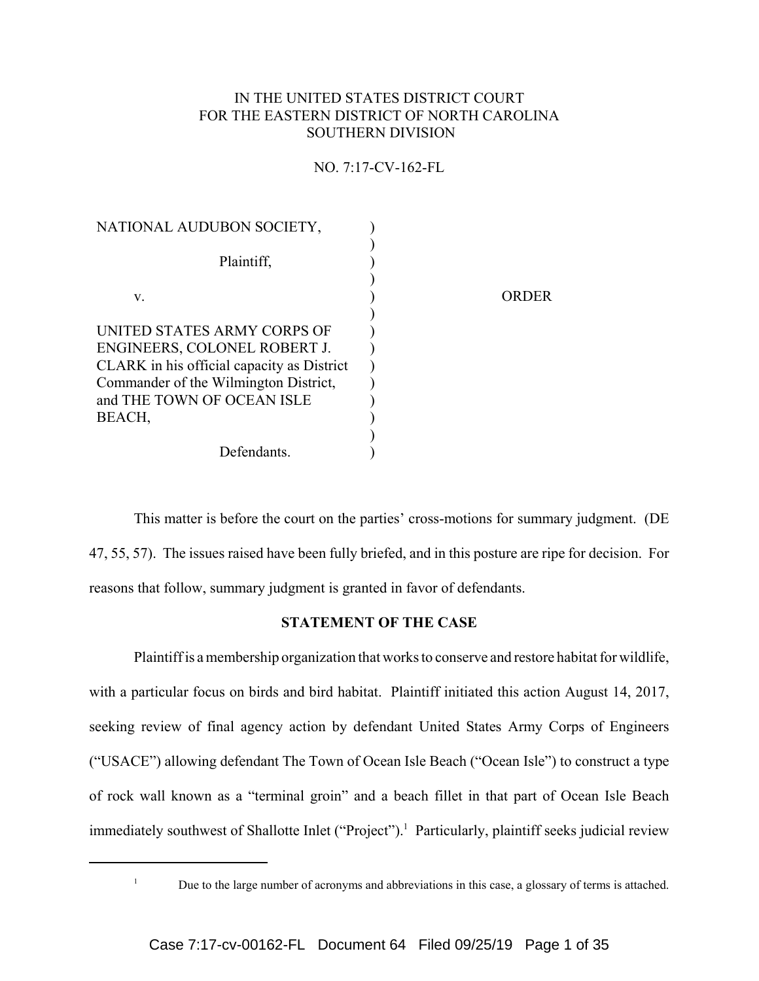## IN THE UNITED STATES DISTRICT COURT FOR THE EASTERN DISTRICT OF NORTH CAROLINA SOUTHERN DIVISION

## NO. 7:17-CV-162-FL

| NATIONAL AUDUBON SOCIETY,                                          |       |  |
|--------------------------------------------------------------------|-------|--|
| Plaintiff,                                                         |       |  |
| V.                                                                 | ORDER |  |
| <b>UNITED STATES ARMY CORPS OF</b><br>ENGINEERS, COLONEL ROBERT J. |       |  |
| CLARK in his official capacity as District                         |       |  |
| Commander of the Wilmington District,                              |       |  |
| and THE TOWN OF OCEAN ISLE                                         |       |  |
| BEACH,                                                             |       |  |
| Defendants.                                                        |       |  |
|                                                                    |       |  |

This matter is before the court on the parties' cross-motions for summary judgment. (DE 47, 55, 57). The issues raised have been fully briefed, and in this posture are ripe for decision. For reasons that follow, summary judgment is granted in favor of defendants.

# **STATEMENT OF THE CASE**

Plaintiff is a membership organization that works to conserve and restore habitat for wildlife, with a particular focus on birds and bird habitat. Plaintiff initiated this action August 14, 2017, seeking review of final agency action by defendant United States Army Corps of Engineers ("USACE") allowing defendant The Town of Ocean Isle Beach ("Ocean Isle") to construct a type of rock wall known as a "terminal groin" and a beach fillet in that part of Ocean Isle Beach immediately southwest of Shallotte Inlet ("Project").<sup>1</sup> Particularly, plaintiff seeks judicial review

<sup>&</sup>lt;sup>1</sup> Due to the large number of acronyms and abbreviations in this case, a glossary of terms is attached.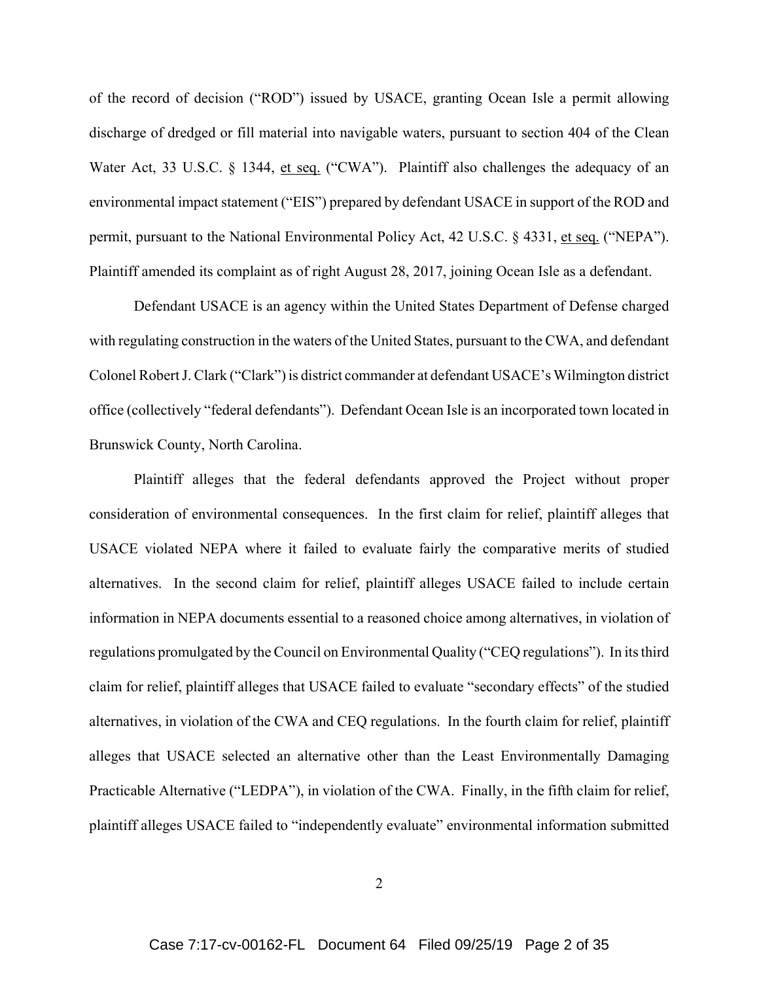of the record of decision ("ROD") issued by USACE, granting Ocean Isle a permit allowing discharge of dredged or fill material into navigable waters, pursuant to section 404 of the Clean Water Act, 33 U.S.C. § 1344, et seq. ("CWA"). Plaintiff also challenges the adequacy of an environmental impact statement ("EIS") prepared by defendant USACE in support of the ROD and permit, pursuant to the National Environmental Policy Act, 42 U.S.C. § 4331, et seq. ("NEPA"). Plaintiff amended its complaint as of right August 28, 2017, joining Ocean Isle as a defendant.

Defendant USACE is an agency within the United States Department of Defense charged with regulating construction in the waters of the United States, pursuant to the CWA, and defendant Colonel Robert J. Clark ("Clark") is district commander at defendant USACE's Wilmington district office (collectively "federal defendants"). Defendant Ocean Isle is an incorporated town located in Brunswick County, North Carolina.

Plaintiff alleges that the federal defendants approved the Project without proper consideration of environmental consequences. In the first claim for relief, plaintiff alleges that USACE violated NEPA where it failed to evaluate fairly the comparative merits of studied alternatives. In the second claim for relief, plaintiff alleges USACE failed to include certain information in NEPA documents essential to a reasoned choice among alternatives, in violation of regulations promulgated by the Council on Environmental Quality ("CEQ regulations"). In its third claim for relief, plaintiff alleges that USACE failed to evaluate "secondary effects" of the studied alternatives, in violation of the CWA and CEQ regulations. In the fourth claim for relief, plaintiff alleges that USACE selected an alternative other than the Least Environmentally Damaging Practicable Alternative ("LEDPA"), in violation of the CWA. Finally, in the fifth claim for relief, plaintiff alleges USACE failed to "independently evaluate" environmental information submitted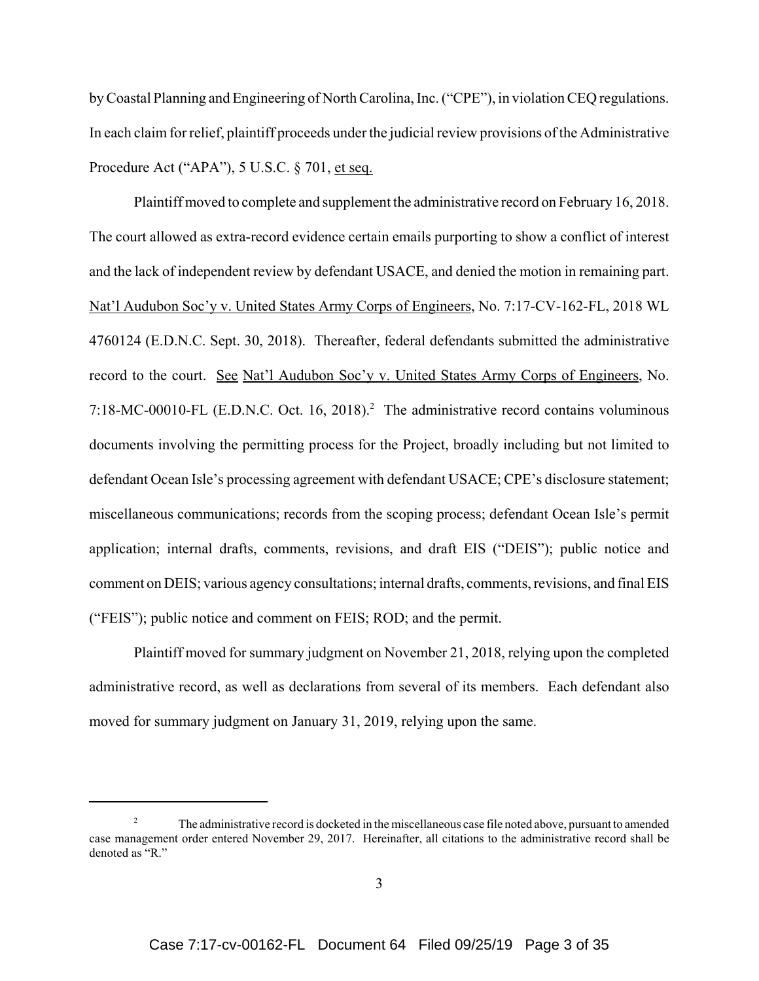by Coastal Planning and Engineering of North Carolina, Inc. ("CPE"), in violation CEQ regulations. In each claim for relief, plaintiff proceeds under the judicial review provisions of the Administrative Procedure Act ("APA"), 5 U.S.C. § 701, et seq.

Plaintiff moved to complete and supplement the administrative record on February 16, 2018. The court allowed as extra-record evidence certain emails purporting to show a conflict of interest and the lack of independent review by defendant USACE, and denied the motion in remaining part. Nat'l Audubon Soc'y v. United States Army Corps of Engineers, No. 7:17-CV-162-FL, 2018 WL 4760124 (E.D.N.C. Sept. 30, 2018). Thereafter, federal defendants submitted the administrative record to the court. See Nat'l Audubon Soc'y v. United States Army Corps of Engineers, No. 7:18-MC-00010-FL (E.D.N.C. Oct. 16, 2018).<sup>2</sup> The administrative record contains voluminous documents involving the permitting process for the Project, broadly including but not limited to defendant Ocean Isle's processing agreement with defendant USACE; CPE's disclosure statement; miscellaneous communications; records from the scoping process; defendant Ocean Isle's permit application; internal drafts, comments, revisions, and draft EIS ("DEIS"); public notice and comment on DEIS; various agency consultations; internal drafts, comments, revisions, and final EIS ("FEIS"); public notice and comment on FEIS; ROD; and the permit.

Plaintiff moved for summary judgment on November 21, 2018, relying upon the completed administrative record, as well as declarations from several of its members. Each defendant also moved for summary judgment on January 31, 2019, relying upon the same.

<sup>&</sup>lt;sup>2</sup> The administrative record is docketed in the miscellaneous case file noted above, pursuant to amended case management order entered November 29, 2017. Hereinafter, all citations to the administrative record shall be denoted as "R."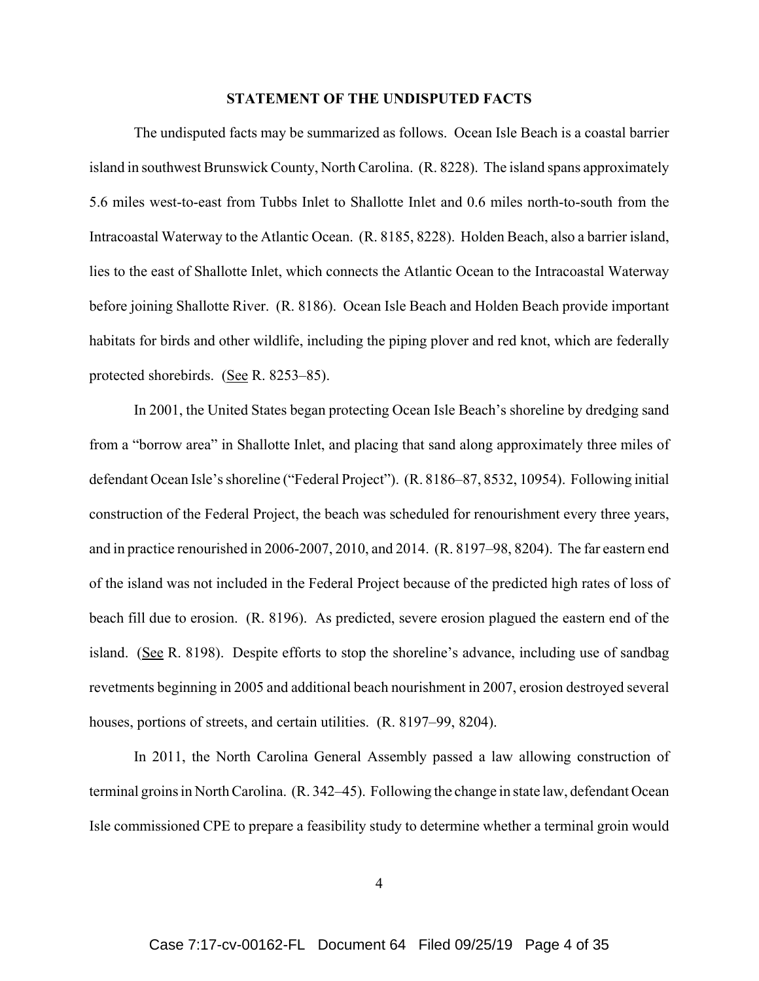#### **STATEMENT OF THE UNDISPUTED FACTS**

The undisputed facts may be summarized as follows. Ocean Isle Beach is a coastal barrier island in southwest Brunswick County, North Carolina. (R. 8228). The island spans approximately 5.6 miles west-to-east from Tubbs Inlet to Shallotte Inlet and 0.6 miles north-to-south from the Intracoastal Waterway to the Atlantic Ocean. (R. 8185, 8228). Holden Beach, also a barrier island, lies to the east of Shallotte Inlet, which connects the Atlantic Ocean to the Intracoastal Waterway before joining Shallotte River. (R. 8186). Ocean Isle Beach and Holden Beach provide important habitats for birds and other wildlife, including the piping plover and red knot, which are federally protected shorebirds. (See R. 8253–85).

In 2001, the United States began protecting Ocean Isle Beach's shoreline by dredging sand from a "borrow area" in Shallotte Inlet, and placing that sand along approximately three miles of defendant Ocean Isle's shoreline ("Federal Project"). (R. 8186–87, 8532, 10954). Following initial construction of the Federal Project, the beach was scheduled for renourishment every three years, and in practice renourished in 2006-2007, 2010, and 2014. (R. 8197–98, 8204). The far eastern end of the island was not included in the Federal Project because of the predicted high rates of loss of beach fill due to erosion. (R. 8196). As predicted, severe erosion plagued the eastern end of the island. (See R. 8198). Despite efforts to stop the shoreline's advance, including use of sandbag revetments beginning in 2005 and additional beach nourishment in 2007, erosion destroyed several houses, portions of streets, and certain utilities. (R. 8197–99, 8204).

In 2011, the North Carolina General Assembly passed a law allowing construction of terminal groins in North Carolina. (R. 342–45). Following the change in state law, defendant Ocean Isle commissioned CPE to prepare a feasibility study to determine whether a terminal groin would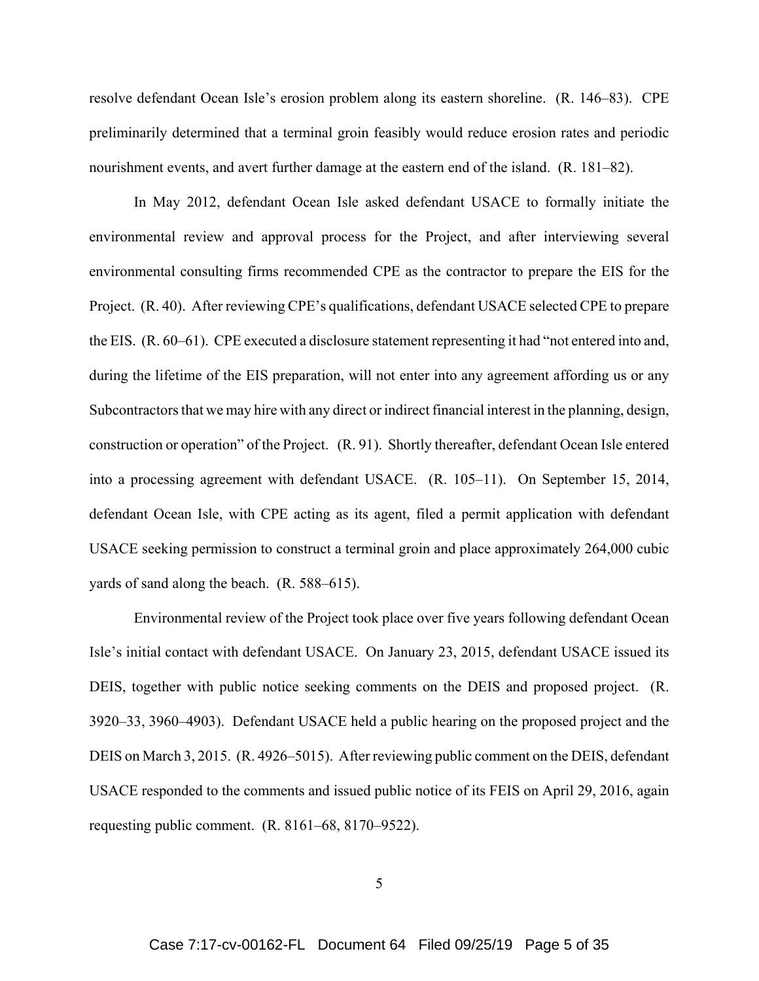resolve defendant Ocean Isle's erosion problem along its eastern shoreline. (R. 146–83). CPE preliminarily determined that a terminal groin feasibly would reduce erosion rates and periodic nourishment events, and avert further damage at the eastern end of the island. (R. 181–82).

In May 2012, defendant Ocean Isle asked defendant USACE to formally initiate the environmental review and approval process for the Project, and after interviewing several environmental consulting firms recommended CPE as the contractor to prepare the EIS for the Project. (R. 40). After reviewing CPE's qualifications, defendant USACE selected CPE to prepare the EIS. (R. 60–61). CPE executed a disclosure statement representing it had "not entered into and, during the lifetime of the EIS preparation, will not enter into any agreement affording us or any Subcontractors that we may hire with any direct or indirect financial interest in the planning, design, construction or operation" of the Project. (R. 91). Shortly thereafter, defendant Ocean Isle entered into a processing agreement with defendant USACE. (R. 105–11). On September 15, 2014, defendant Ocean Isle, with CPE acting as its agent, filed a permit application with defendant USACE seeking permission to construct a terminal groin and place approximately 264,000 cubic yards of sand along the beach. (R. 588–615).

Environmental review of the Project took place over five years following defendant Ocean Isle's initial contact with defendant USACE. On January 23, 2015, defendant USACE issued its DEIS, together with public notice seeking comments on the DEIS and proposed project. (R. 3920–33, 3960–4903). Defendant USACE held a public hearing on the proposed project and the DEIS on March 3, 2015. (R. 4926–5015). After reviewing public comment on the DEIS, defendant USACE responded to the comments and issued public notice of its FEIS on April 29, 2016, again requesting public comment. (R. 8161–68, 8170–9522).

5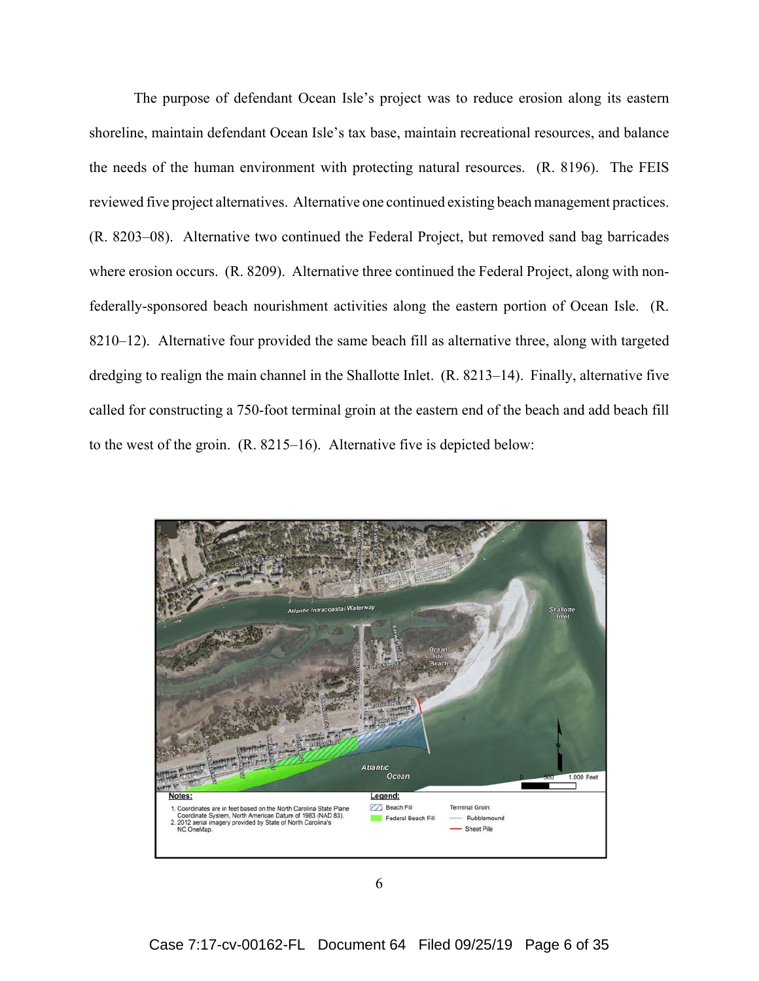The purpose of defendant Ocean Isle's project was to reduce erosion along its eastern shoreline, maintain defendant Ocean Isle's tax base, maintain recreational resources, and balance the needs of the human environment with protecting natural resources. (R. 8196). The FEIS reviewed five project alternatives. Alternative one continued existing beach management practices. (R. 8203–08). Alternative two continued the Federal Project, but removed sand bag barricades where erosion occurs. (R. 8209). Alternative three continued the Federal Project, along with nonfederally-sponsored beach nourishment activities along the eastern portion of Ocean Isle. (R. 8210–12). Alternative four provided the same beach fill as alternative three, along with targeted dredging to realign the main channel in the Shallotte Inlet. (R. 8213–14). Finally, alternative five called for constructing a 750-foot terminal groin at the eastern end of the beach and add beach fill to the west of the groin. (R. 8215–16). Alternative five is depicted below:

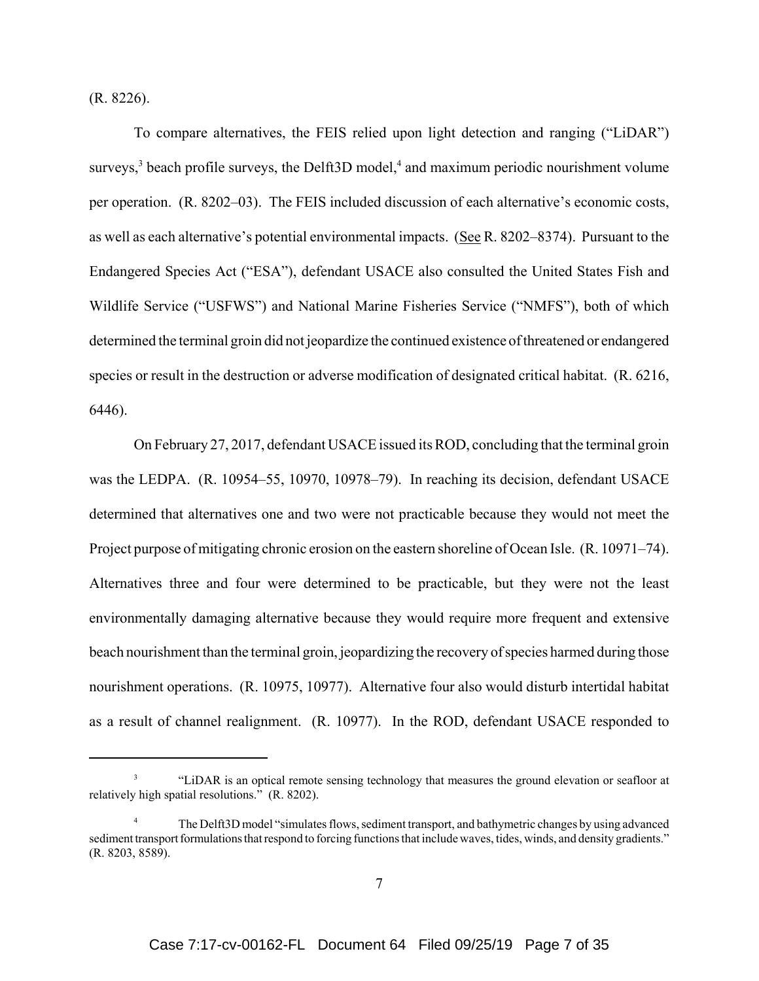(R. 8226).

To compare alternatives, the FEIS relied upon light detection and ranging ("LiDAR") surveys,<sup>3</sup> beach profile surveys, the Delft3D model,<sup>4</sup> and maximum periodic nourishment volume per operation. (R. 8202–03). The FEIS included discussion of each alternative's economic costs, as well as each alternative's potential environmental impacts. (See R. 8202–8374). Pursuant to the Endangered Species Act ("ESA"), defendant USACE also consulted the United States Fish and Wildlife Service ("USFWS") and National Marine Fisheries Service ("NMFS"), both of which determined the terminal groin did not jeopardize the continued existence of threatened or endangered species or result in the destruction or adverse modification of designated critical habitat. (R. 6216, 6446).

On February 27, 2017, defendant USACE issued its ROD, concluding that the terminal groin was the LEDPA. (R. 10954–55, 10970, 10978–79). In reaching its decision, defendant USACE determined that alternatives one and two were not practicable because they would not meet the Project purpose of mitigating chronic erosion on the eastern shoreline of Ocean Isle. (R. 10971–74). Alternatives three and four were determined to be practicable, but they were not the least environmentally damaging alternative because they would require more frequent and extensive beach nourishment than the terminal groin, jeopardizing the recovery of species harmed during those nourishment operations. (R. 10975, 10977). Alternative four also would disturb intertidal habitat as a result of channel realignment. (R. 10977). In the ROD, defendant USACE responded to

<sup>3</sup> "LiDAR is an optical remote sensing technology that measures the ground elevation or seafloor at relatively high spatial resolutions." (R. 8202).

<sup>&</sup>lt;sup>4</sup> The Delft3D model "simulates flows, sediment transport, and bathymetric changes by using advanced sediment transport formulations that respond to forcing functions that include waves, tides, winds, and density gradients." (R. 8203, 8589).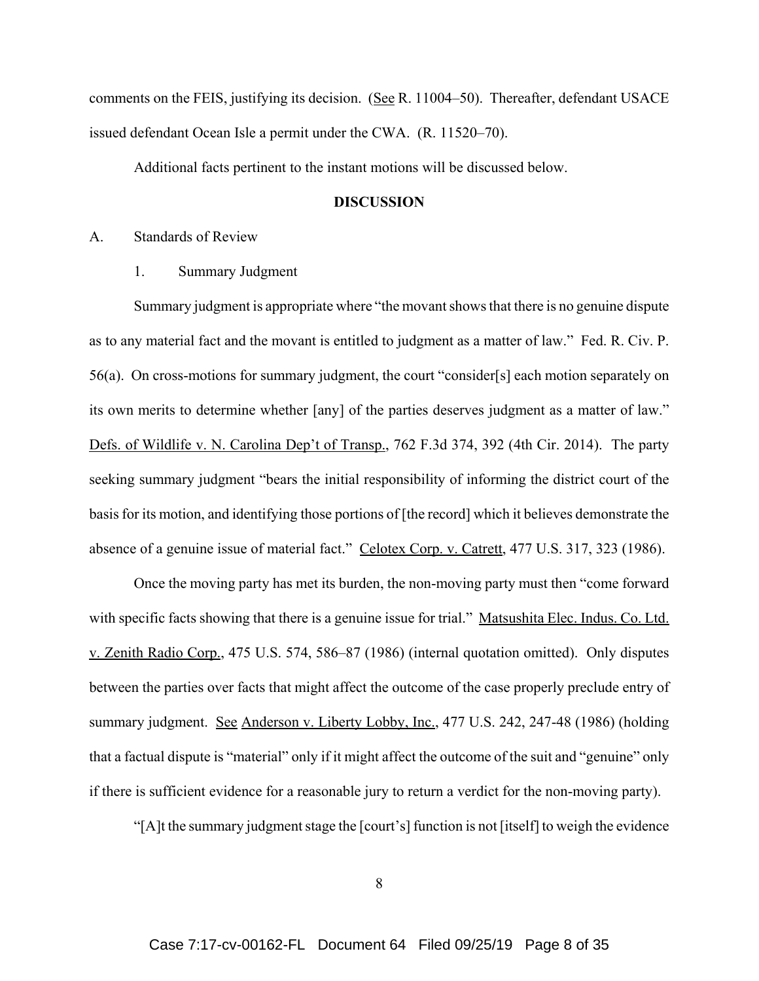comments on the FEIS, justifying its decision. (See R. 11004–50). Thereafter, defendant USACE issued defendant Ocean Isle a permit under the CWA. (R. 11520–70).

Additional facts pertinent to the instant motions will be discussed below.

#### **DISCUSSION**

A. Standards of Review

1. Summary Judgment

Summary judgment is appropriate where "the movant shows that there is no genuine dispute as to any material fact and the movant is entitled to judgment as a matter of law." Fed. R. Civ. P. 56(a). On cross-motions for summary judgment, the court "consider[s] each motion separately on its own merits to determine whether [any] of the parties deserves judgment as a matter of law." Defs. of Wildlife v. N. Carolina Dep't of Transp., 762 F.3d 374, 392 (4th Cir. 2014). The party seeking summary judgment "bears the initial responsibility of informing the district court of the basis for its motion, and identifying those portions of [the record] which it believes demonstrate the absence of a genuine issue of material fact." Celotex Corp. v. Catrett, 477 U.S. 317, 323 (1986).

Once the moving party has met its burden, the non-moving party must then "come forward with specific facts showing that there is a genuine issue for trial." Matsushita Elec. Indus. Co. Ltd. v. Zenith Radio Corp., 475 U.S. 574, 586–87 (1986) (internal quotation omitted). Only disputes between the parties over facts that might affect the outcome of the case properly preclude entry of summary judgment. See Anderson v. Liberty Lobby, Inc., 477 U.S. 242, 247-48 (1986) (holding that a factual dispute is "material" only if it might affect the outcome of the suit and "genuine" only if there is sufficient evidence for a reasonable jury to return a verdict for the non-moving party).

"[A]t the summary judgment stage the [court's] function is not [itself] to weigh the evidence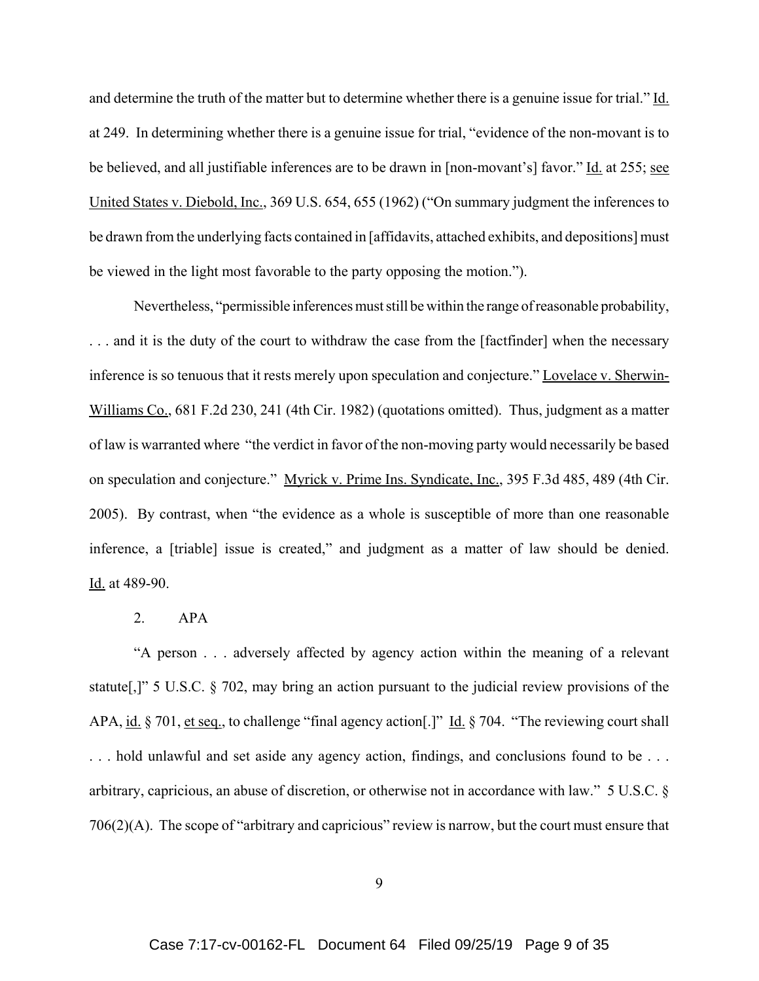and determine the truth of the matter but to determine whether there is a genuine issue for trial." Id. at 249. In determining whether there is a genuine issue for trial, "evidence of the non-movant is to be believed, and all justifiable inferences are to be drawn in [non-movant's] favor." Id. at 255; see United States v. Diebold, Inc., 369 U.S. 654, 655 (1962) ("On summary judgment the inferences to be drawn from the underlying facts contained in [affidavits, attached exhibits, and depositions] must be viewed in the light most favorable to the party opposing the motion.").

Nevertheless, "permissible inferences must still be within the range of reasonable probability, ... and it is the duty of the court to withdraw the case from the [factfinder] when the necessary inference is so tenuous that it rests merely upon speculation and conjecture." Lovelace v. Sherwin-Williams Co., 681 F.2d 230, 241 (4th Cir. 1982) (quotations omitted). Thus, judgment as a matter of law is warranted where "the verdict in favor of the non-moving party would necessarily be based on speculation and conjecture." Myrick v. Prime Ins. Syndicate, Inc., 395 F.3d 485, 489 (4th Cir. 2005). By contrast, when "the evidence as a whole is susceptible of more than one reasonable inference, a [triable] issue is created," and judgment as a matter of law should be denied. Id. at 489-90.

## 2. APA

"A person . . . adversely affected by agency action within the meaning of a relevant statute[,]" 5 U.S.C. § 702, may bring an action pursuant to the judicial review provisions of the APA, id. § 701, et seq., to challenge "final agency action<sup>[1]</sup> Id. § 704. "The reviewing court shall . . . hold unlawful and set aside any agency action, findings, and conclusions found to be . . . arbitrary, capricious, an abuse of discretion, or otherwise not in accordance with law." 5 U.S.C. § 706(2)(A). The scope of "arbitrary and capricious" review is narrow, but the court must ensure that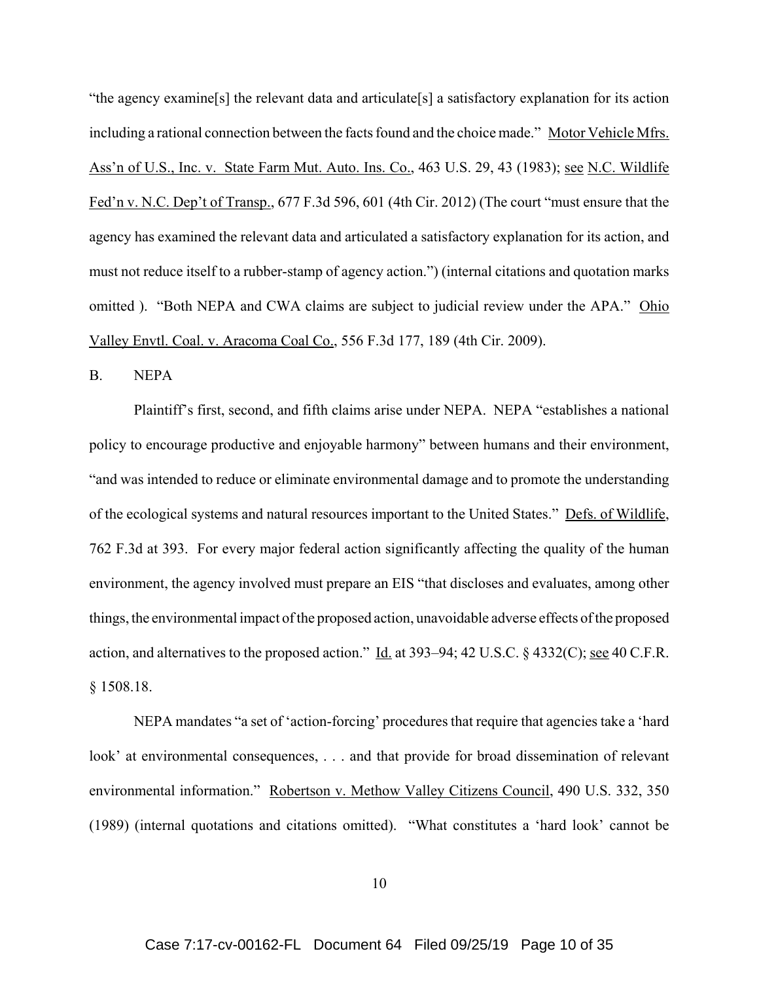"the agency examine[s] the relevant data and articulate[s] a satisfactory explanation for its action including a rational connection between the facts found and the choice made." Motor Vehicle Mfrs. Ass'n of U.S., Inc. v. State Farm Mut. Auto. Ins. Co., 463 U.S. 29, 43 (1983); see N.C. Wildlife Fed'n v. N.C. Dep't of Transp., 677 F.3d 596, 601 (4th Cir. 2012) (The court "must ensure that the agency has examined the relevant data and articulated a satisfactory explanation for its action, and must not reduce itself to a rubber-stamp of agency action.") (internal citations and quotation marks omitted ). "Both NEPA and CWA claims are subject to judicial review under the APA." Ohio Valley Envtl. Coal. v. Aracoma Coal Co., 556 F.3d 177, 189 (4th Cir. 2009).

B. NEPA

Plaintiff's first, second, and fifth claims arise under NEPA. NEPA "establishes a national policy to encourage productive and enjoyable harmony" between humans and their environment, "and was intended to reduce or eliminate environmental damage and to promote the understanding of the ecological systems and natural resources important to the United States." Defs. of Wildlife, 762 F.3d at 393. For every major federal action significantly affecting the quality of the human environment, the agency involved must prepare an EIS "that discloses and evaluates, among other things, the environmental impact of the proposed action, unavoidable adverse effects of the proposed action, and alternatives to the proposed action." Id. at 393–94; 42 U.S.C.  $\S$  4332(C); see 40 C.F.R. § 1508.18.

NEPA mandates "a set of 'action-forcing' procedures that require that agencies take a 'hard look' at environmental consequences, . . . and that provide for broad dissemination of relevant environmental information." Robertson v. Methow Valley Citizens Council, 490 U.S. 332, 350 (1989) (internal quotations and citations omitted). "What constitutes a 'hard look' cannot be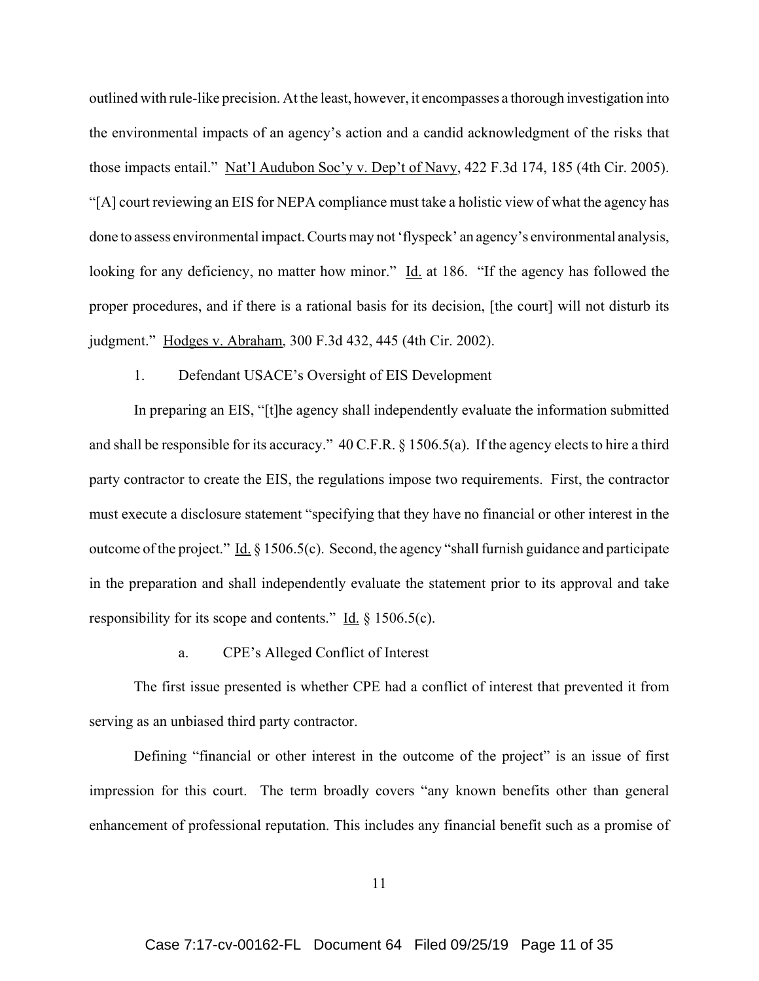outlined with rule-like precision. At the least, however, it encompasses a thorough investigation into the environmental impacts of an agency's action and a candid acknowledgment of the risks that those impacts entail." Nat'l Audubon Soc'y v. Dep't of Navy, 422 F.3d 174, 185 (4th Cir. 2005). "[A] court reviewing an EIS for NEPA compliance must take a holistic view of what the agency has done to assess environmental impact. Courts may not 'flyspeck' an agency's environmental analysis, looking for any deficiency, no matter how minor." Id. at 186. "If the agency has followed the proper procedures, and if there is a rational basis for its decision, [the court] will not disturb its judgment." Hodges v. Abraham, 300 F.3d 432, 445 (4th Cir. 2002).

## 1. Defendant USACE's Oversight of EIS Development

In preparing an EIS, "[t]he agency shall independently evaluate the information submitted and shall be responsible for its accuracy." 40 C.F.R. § 1506.5(a). If the agency elects to hire a third party contractor to create the EIS, the regulations impose two requirements. First, the contractor must execute a disclosure statement "specifying that they have no financial or other interest in the outcome of the project." Id.  $\S 1506.5(c)$ . Second, the agency "shall furnish guidance and participate in the preparation and shall independently evaluate the statement prior to its approval and take responsibility for its scope and contents." Id.  $\S 1506.5(c)$ .

## a. CPE's Alleged Conflict of Interest

The first issue presented is whether CPE had a conflict of interest that prevented it from serving as an unbiased third party contractor.

Defining "financial or other interest in the outcome of the project" is an issue of first impression for this court. The term broadly covers "any known benefits other than general enhancement of professional reputation. This includes any financial benefit such as a promise of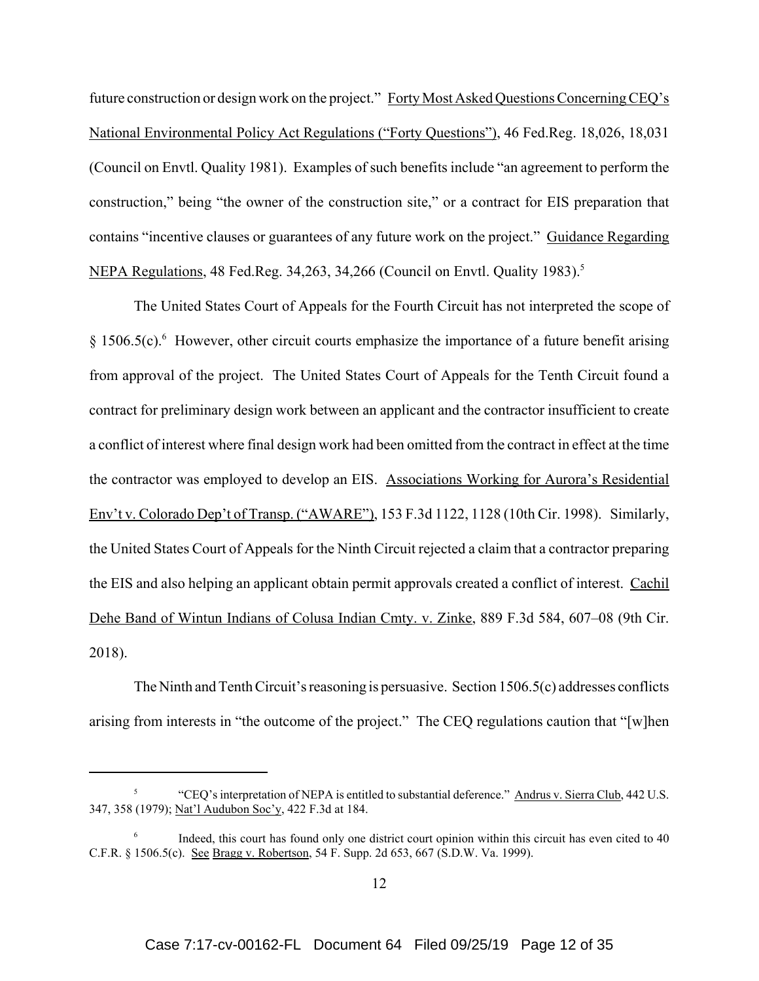future construction or design work on the project." Forty Most Asked Questions Concerning CEQ's National Environmental Policy Act Regulations ("Forty Questions"), 46 Fed.Reg. 18,026, 18,031 (Council on Envtl. Quality 1981). Examples of such benefits include "an agreement to perform the construction," being "the owner of the construction site," or a contract for EIS preparation that contains "incentive clauses or guarantees of any future work on the project." Guidance Regarding NEPA Regulations, 48 Fed.Reg. 34,263, 34,266 (Council on Envtl. Quality 1983).<sup>5</sup>

The United States Court of Appeals for the Fourth Circuit has not interpreted the scope of  $\S 1506.5(c)$ . However, other circuit courts emphasize the importance of a future benefit arising from approval of the project. The United States Court of Appeals for the Tenth Circuit found a contract for preliminary design work between an applicant and the contractor insufficient to create a conflict of interest where final design work had been omitted from the contract in effect at the time the contractor was employed to develop an EIS. Associations Working for Aurora's Residential Env't v. Colorado Dep't of Transp. ("AWARE"), 153 F.3d 1122, 1128 (10th Cir. 1998). Similarly, the United States Court of Appeals for the Ninth Circuit rejected a claim that a contractor preparing the EIS and also helping an applicant obtain permit approvals created a conflict of interest. Cachil Dehe Band of Wintun Indians of Colusa Indian Cmty. v. Zinke, 889 F.3d 584, 607–08 (9th Cir. 2018).

The Ninth and Tenth Circuit's reasoning is persuasive. Section 1506.5(c) addresses conflicts arising from interests in "the outcome of the project." The CEQ regulations caution that "[w]hen

<sup>5</sup> "CEQ's interpretation of NEPA is entitled to substantial deference." Andrus v. Sierra Club, 442 U.S. 347, 358 (1979); Nat'l Audubon Soc'y, 422 F.3d at 184.

 $6$  Indeed, this court has found only one district court opinion within this circuit has even cited to 40 C.F.R. § 1506.5(c). See Bragg v. Robertson, 54 F. Supp. 2d 653, 667 (S.D.W. Va. 1999).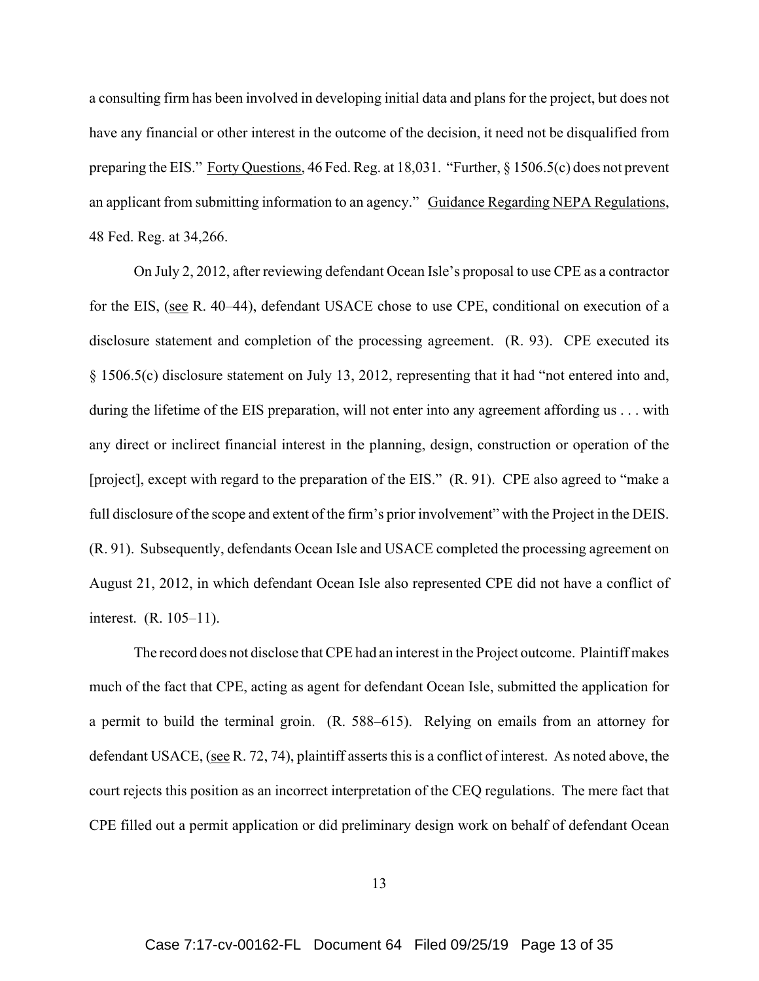a consulting firm has been involved in developing initial data and plans for the project, but does not have any financial or other interest in the outcome of the decision, it need not be disqualified from preparing the EIS." Forty Questions, 46 Fed. Reg. at 18,031. "Further, § 1506.5(c) does not prevent an applicant from submitting information to an agency." Guidance Regarding NEPA Regulations, 48 Fed. Reg. at 34,266.

On July 2, 2012, after reviewing defendant Ocean Isle's proposal to use CPE as a contractor for the EIS, (see R. 40–44), defendant USACE chose to use CPE, conditional on execution of a disclosure statement and completion of the processing agreement. (R. 93). CPE executed its § 1506.5(c) disclosure statement on July 13, 2012, representing that it had "not entered into and, during the lifetime of the EIS preparation, will not enter into any agreement affording us . . . with any direct or inclirect financial interest in the planning, design, construction or operation of the [project], except with regard to the preparation of the EIS." (R. 91). CPE also agreed to "make a full disclosure of the scope and extent of the firm's prior involvement" with the Project in the DEIS. (R. 91). Subsequently, defendants Ocean Isle and USACE completed the processing agreement on August 21, 2012, in which defendant Ocean Isle also represented CPE did not have a conflict of interest. (R. 105–11).

The record does not disclose that CPE had an interest in the Project outcome. Plaintiff makes much of the fact that CPE, acting as agent for defendant Ocean Isle, submitted the application for a permit to build the terminal groin. (R. 588–615). Relying on emails from an attorney for defendant USACE, (see R. 72, 74), plaintiff asserts this is a conflict of interest. As noted above, the court rejects this position as an incorrect interpretation of the CEQ regulations. The mere fact that CPE filled out a permit application or did preliminary design work on behalf of defendant Ocean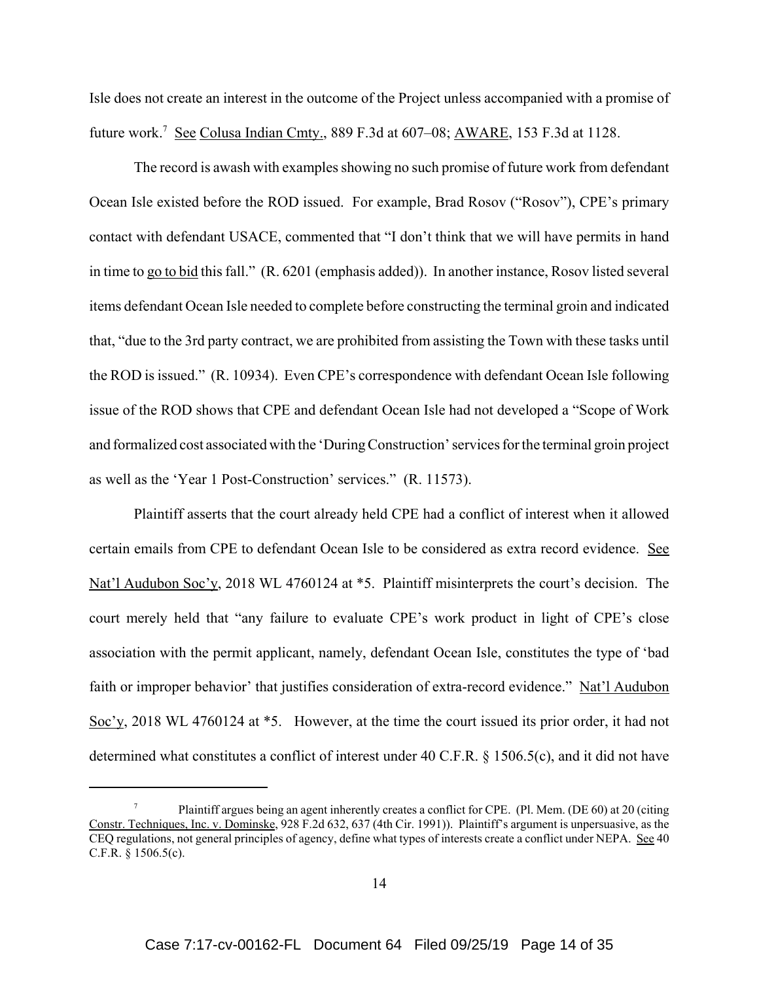Isle does not create an interest in the outcome of the Project unless accompanied with a promise of future work.<sup>7</sup> See Colusa Indian Cmty., 889 F.3d at 607–08; AWARE, 153 F.3d at 1128.

The record is awash with examples showing no such promise of future work from defendant Ocean Isle existed before the ROD issued. For example, Brad Rosov ("Rosov"), CPE's primary contact with defendant USACE, commented that "I don't think that we will have permits in hand in time to go to bid this fall." (R. 6201 (emphasis added)). In another instance, Rosov listed several items defendant Ocean Isle needed to complete before constructing the terminal groin and indicated that, "due to the 3rd party contract, we are prohibited from assisting the Town with these tasks until the ROD is issued." (R. 10934). Even CPE's correspondence with defendant Ocean Isle following issue of the ROD shows that CPE and defendant Ocean Isle had not developed a "Scope of Work and formalized cost associated with the 'During Construction' services for the terminal groin project as well as the 'Year 1 Post-Construction' services." (R. 11573).

Plaintiff asserts that the court already held CPE had a conflict of interest when it allowed certain emails from CPE to defendant Ocean Isle to be considered as extra record evidence. See Nat'l Audubon Soc'y, 2018 WL 4760124 at \*5. Plaintiff misinterprets the court's decision. The court merely held that "any failure to evaluate CPE's work product in light of CPE's close association with the permit applicant, namely, defendant Ocean Isle, constitutes the type of 'bad faith or improper behavior' that justifies consideration of extra-record evidence." Nat'l Audubon Soc'y, 2018 WL 4760124 at \*5. However, at the time the court issued its prior order, it had not determined what constitutes a conflict of interest under 40 C.F.R. § 1506.5(c), and it did not have

Plaintiff argues being an agent inherently creates a conflict for CPE. (Pl. Mem. (DE 60) at 20 (citing Constr. Techniques, Inc. v. Dominske, 928 F.2d 632, 637 (4th Cir. 1991)). Plaintiff's argument is unpersuasive, as the CEQ regulations, not general principles of agency, define what types of interests create a conflict under NEPA. See 40 C.F.R. § 1506.5(c).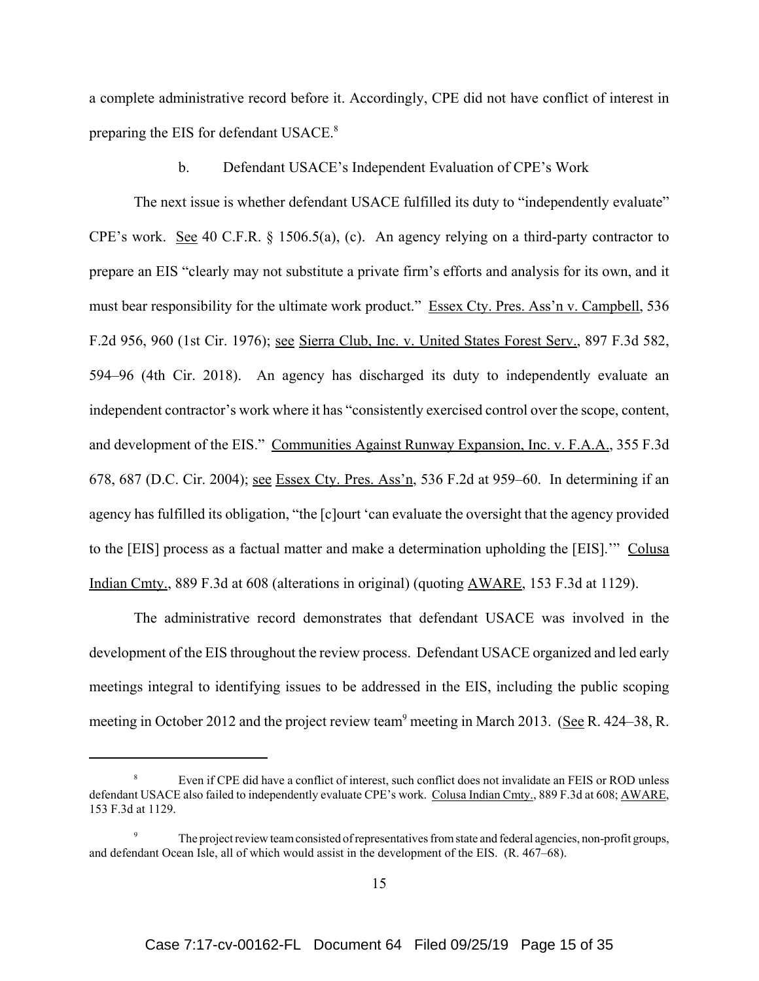a complete administrative record before it. Accordingly, CPE did not have conflict of interest in preparing the EIS for defendant USACE.<sup>8</sup>

b. Defendant USACE's Independent Evaluation of CPE's Work

The next issue is whether defendant USACE fulfilled its duty to "independently evaluate" CPE's work. See 40 C.F.R. § 1506.5(a), (c). An agency relying on a third-party contractor to prepare an EIS "clearly may not substitute a private firm's efforts and analysis for its own, and it must bear responsibility for the ultimate work product." Essex Cty. Pres. Ass'n v. Campbell, 536 F.2d 956, 960 (1st Cir. 1976); see Sierra Club, Inc. v. United States Forest Serv., 897 F.3d 582, 594–96 (4th Cir. 2018). An agency has discharged its duty to independently evaluate an independent contractor's work where it has "consistently exercised control over the scope, content, and development of the EIS." Communities Against Runway Expansion, Inc. v. F.A.A., 355 F.3d 678, 687 (D.C. Cir. 2004); see Essex Cty. Pres. Ass'n, 536 F.2d at 959–60. In determining if an agency has fulfilled its obligation, "the [c]ourt 'can evaluate the oversight that the agency provided to the [EIS] process as a factual matter and make a determination upholding the [EIS].'" Colusa Indian Cmty., 889 F.3d at 608 (alterations in original) (quoting AWARE, 153 F.3d at 1129).

The administrative record demonstrates that defendant USACE was involved in the development of the EIS throughout the review process. Defendant USACE organized and led early meetings integral to identifying issues to be addressed in the EIS, including the public scoping meeting in October 2012 and the project review team<sup>9</sup> meeting in March 2013. (See R. 424–38, R.

Even if CPE did have a conflict of interest, such conflict does not invalidate an FEIS or ROD unless defendant USACE also failed to independently evaluate CPE's work. Colusa Indian Cmty., 889 F.3d at 608; AWARE, 153 F.3d at 1129.

The project review team consisted of representatives from state and federal agencies, non-profit groups, and defendant Ocean Isle, all of which would assist in the development of the EIS. (R. 467–68).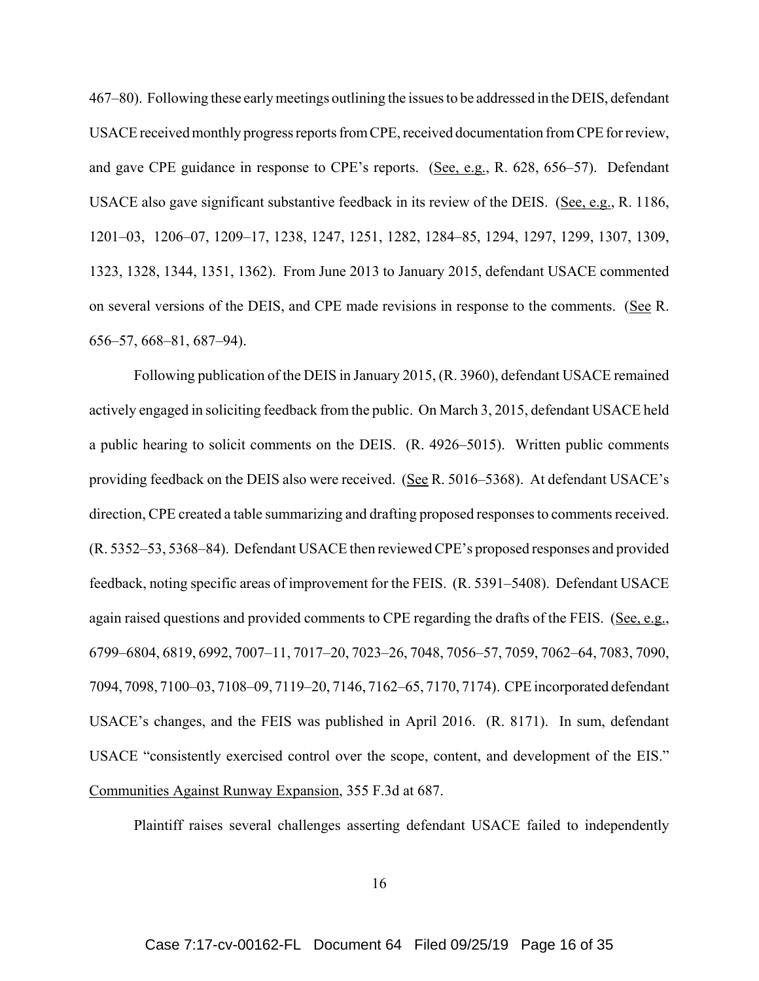467–80). Following these early meetings outlining the issues to be addressed in the DEIS, defendant USACE received monthly progress reports from CPE, received documentation from CPE for review, and gave CPE guidance in response to CPE's reports. (See, e.g., R. 628, 656–57). Defendant USACE also gave significant substantive feedback in its review of the DEIS. (See, e.g., R. 1186, 1201–03, 1206–07, 1209–17, 1238, 1247, 1251, 1282, 1284–85, 1294, 1297, 1299, 1307, 1309, 1323, 1328, 1344, 1351, 1362). From June 2013 to January 2015, defendant USACE commented on several versions of the DEIS, and CPE made revisions in response to the comments. (See R. 656–57, 668–81, 687–94).

Following publication of the DEIS in January 2015, (R. 3960), defendant USACE remained actively engaged in soliciting feedback from the public. On March 3, 2015, defendant USACE held a public hearing to solicit comments on the DEIS. (R. 4926–5015). Written public comments providing feedback on the DEIS also were received. (See R. 5016–5368). At defendant USACE's direction, CPE created a table summarizing and drafting proposed responses to comments received. (R. 5352–53, 5368–84). Defendant USACE then reviewed CPE's proposed responses and provided feedback, noting specific areas of improvement for the FEIS. (R. 5391–5408). Defendant USACE again raised questions and provided comments to CPE regarding the drafts of the FEIS. (See, e.g., 6799–6804, 6819, 6992, 7007–11, 7017–20, 7023–26, 7048, 7056–57, 7059, 7062–64, 7083, 7090, 7094, 7098, 7100–03, 7108–09, 7119–20, 7146, 7162–65, 7170, 7174). CPE incorporated defendant USACE's changes, and the FEIS was published in April 2016. (R. 8171). In sum, defendant USACE "consistently exercised control over the scope, content, and development of the EIS." Communities Against Runway Expansion, 355 F.3d at 687.

Plaintiff raises several challenges asserting defendant USACE failed to independently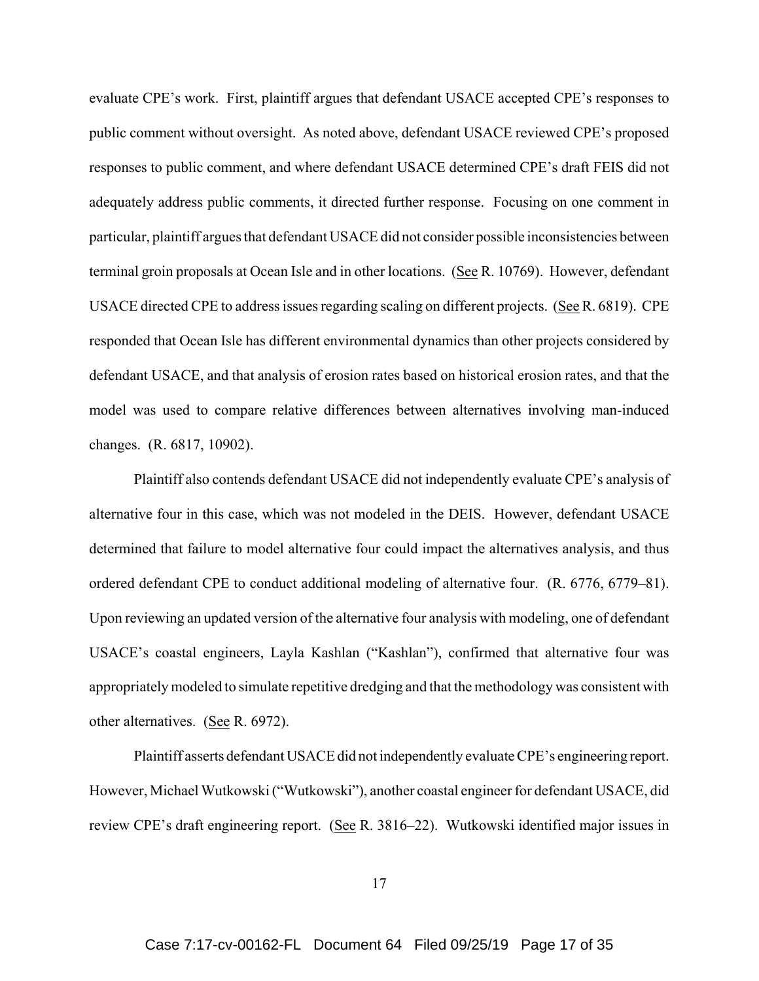evaluate CPE's work. First, plaintiff argues that defendant USACE accepted CPE's responses to public comment without oversight. As noted above, defendant USACE reviewed CPE's proposed responses to public comment, and where defendant USACE determined CPE's draft FEIS did not adequately address public comments, it directed further response. Focusing on one comment in particular, plaintiff argues that defendant USACE did not consider possible inconsistencies between terminal groin proposals at Ocean Isle and in other locations. (See R. 10769). However, defendant USACE directed CPE to address issues regarding scaling on different projects. (See R. 6819). CPE responded that Ocean Isle has different environmental dynamics than other projects considered by defendant USACE, and that analysis of erosion rates based on historical erosion rates, and that the model was used to compare relative differences between alternatives involving man-induced changes. (R. 6817, 10902).

Plaintiff also contends defendant USACE did not independently evaluate CPE's analysis of alternative four in this case, which was not modeled in the DEIS. However, defendant USACE determined that failure to model alternative four could impact the alternatives analysis, and thus ordered defendant CPE to conduct additional modeling of alternative four. (R. 6776, 6779–81). Upon reviewing an updated version of the alternative four analysis with modeling, one of defendant USACE's coastal engineers, Layla Kashlan ("Kashlan"), confirmed that alternative four was appropriately modeled to simulate repetitive dredging and that the methodology was consistent with other alternatives. (See R. 6972).

Plaintiff asserts defendant USACE did not independently evaluate CPE's engineering report. However, Michael Wutkowski ("Wutkowski"), another coastal engineer for defendant USACE, did review CPE's draft engineering report. (See R. 3816–22). Wutkowski identified major issues in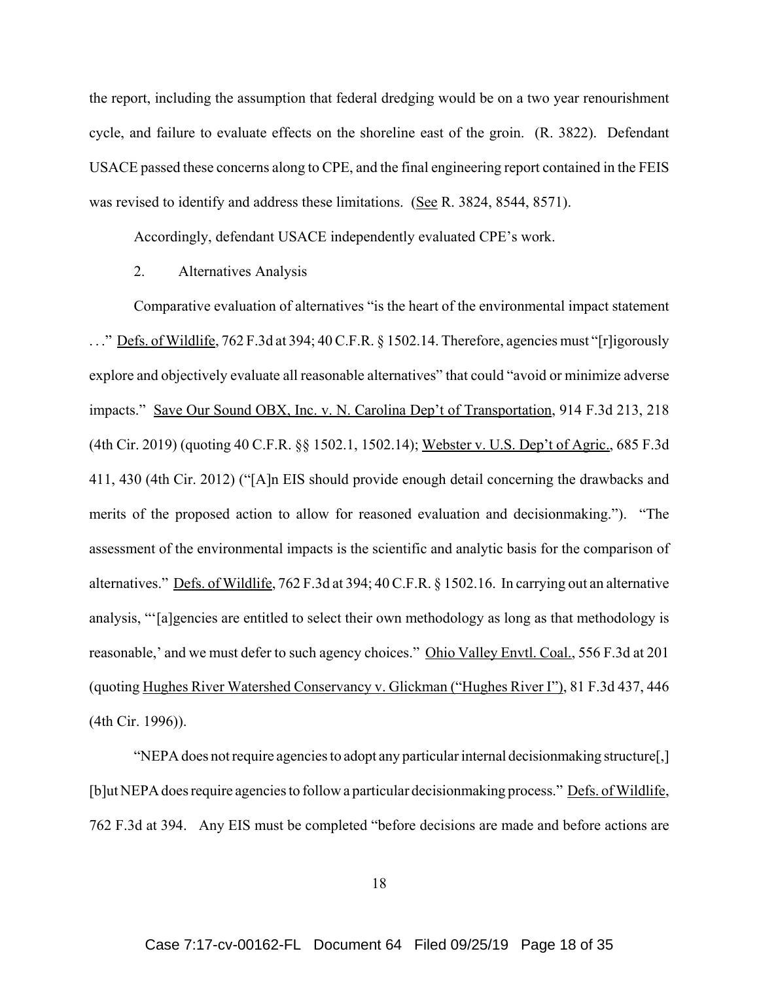the report, including the assumption that federal dredging would be on a two year renourishment cycle, and failure to evaluate effects on the shoreline east of the groin. (R. 3822). Defendant USACE passed these concerns along to CPE, and the final engineering report contained in the FEIS was revised to identify and address these limitations. (See R. 3824, 8544, 8571).

Accordingly, defendant USACE independently evaluated CPE's work.

2. Alternatives Analysis

Comparative evaluation of alternatives "is the heart of the environmental impact statement ..." Defs. of Wildlife, 762 F.3d at 394; 40 C.F.R. § 1502.14. Therefore, agencies must "[r]igorously explore and objectively evaluate all reasonable alternatives" that could "avoid or minimize adverse impacts." Save Our Sound OBX, Inc. v. N. Carolina Dep't of Transportation, 914 F.3d 213, 218 (4th Cir. 2019) (quoting 40 C.F.R. §§ 1502.1, 1502.14); Webster v. U.S. Dep't of Agric., 685 F.3d 411, 430 (4th Cir. 2012) ("[A]n EIS should provide enough detail concerning the drawbacks and merits of the proposed action to allow for reasoned evaluation and decisionmaking."). "The assessment of the environmental impacts is the scientific and analytic basis for the comparison of alternatives." Defs. of Wildlife, 762 F.3d at 394; 40 C.F.R. § 1502.16. In carrying out an alternative analysis, "'[a]gencies are entitled to select their own methodology as long as that methodology is reasonable,' and we must defer to such agency choices." Ohio Valley Envtl. Coal., 556 F.3d at 201 (quoting Hughes River Watershed Conservancy v. Glickman ("Hughes River I"), 81 F.3d 437, 446 (4th Cir. 1996)).

"NEPA does not require agencies to adopt any particular internal decisionmaking structure[,] [b]ut NEPA does require agencies to follow a particular decisionmaking process." Defs. of Wildlife, 762 F.3d at 394. Any EIS must be completed "before decisions are made and before actions are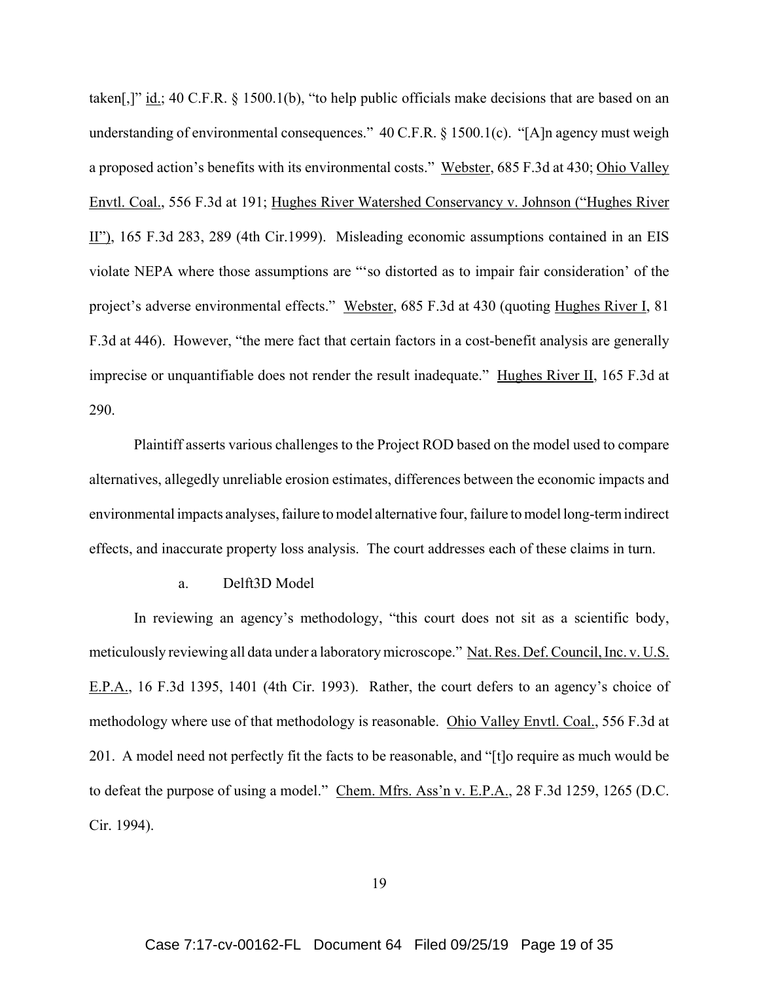taken[,]"  $\underline{\text{id}}$ ; 40 C.F.R. § 1500.1(b), "to help public officials make decisions that are based on an understanding of environmental consequences." 40 C.F.R. § 1500.1(c). "[A]n agency must weigh a proposed action's benefits with its environmental costs." Webster, 685 F.3d at 430; Ohio Valley Envtl. Coal., 556 F.3d at 191; Hughes River Watershed Conservancy v. Johnson ("Hughes River II"), 165 F.3d 283, 289 (4th Cir.1999). Misleading economic assumptions contained in an EIS violate NEPA where those assumptions are "'so distorted as to impair fair consideration' of the project's adverse environmental effects." Webster, 685 F.3d at 430 (quoting Hughes River I, 81) F.3d at 446). However, "the mere fact that certain factors in a cost-benefit analysis are generally imprecise or unquantifiable does not render the result inadequate." Hughes River II, 165 F.3d at 290.

Plaintiff asserts various challenges to the Project ROD based on the model used to compare alternatives, allegedly unreliable erosion estimates, differences between the economic impacts and environmental impacts analyses, failure to model alternative four, failure to model long-term indirect effects, and inaccurate property loss analysis. The court addresses each of these claims in turn.

a. Delft3D Model

In reviewing an agency's methodology, "this court does not sit as a scientific body, meticulously reviewing all data under a laboratory microscope." Nat. Res. Def. Council, Inc. v. U.S. E.P.A., 16 F.3d 1395, 1401 (4th Cir. 1993). Rather, the court defers to an agency's choice of methodology where use of that methodology is reasonable. Ohio Valley Envtl. Coal., 556 F.3d at 201. A model need not perfectly fit the facts to be reasonable, and "[t]o require as much would be to defeat the purpose of using a model." Chem. Mfrs. Ass'n v. E.P.A., 28 F.3d 1259, 1265 (D.C. Cir. 1994).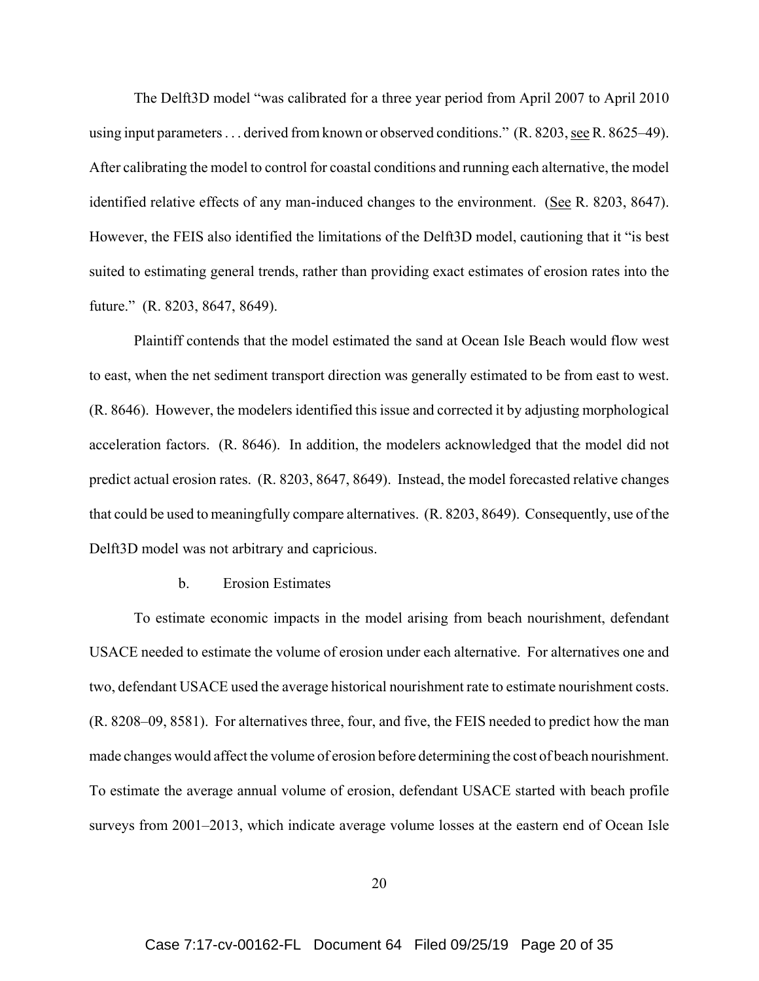The Delft3D model "was calibrated for a three year period from April 2007 to April 2010 using input parameters . . . derived from known or observed conditions." (R. 8203, see R. 8625–49). After calibrating the model to control for coastal conditions and running each alternative, the model identified relative effects of any man-induced changes to the environment. (See R. 8203, 8647). However, the FEIS also identified the limitations of the Delft3D model, cautioning that it "is best suited to estimating general trends, rather than providing exact estimates of erosion rates into the future." (R. 8203, 8647, 8649).

Plaintiff contends that the model estimated the sand at Ocean Isle Beach would flow west to east, when the net sediment transport direction was generally estimated to be from east to west. (R. 8646). However, the modelers identified this issue and corrected it by adjusting morphological acceleration factors. (R. 8646). In addition, the modelers acknowledged that the model did not predict actual erosion rates. (R. 8203, 8647, 8649). Instead, the model forecasted relative changes that could be used to meaningfully compare alternatives. (R. 8203, 8649). Consequently, use of the Delft3D model was not arbitrary and capricious.

## b. Erosion Estimates

To estimate economic impacts in the model arising from beach nourishment, defendant USACE needed to estimate the volume of erosion under each alternative. For alternatives one and two, defendant USACE used the average historical nourishment rate to estimate nourishment costs. (R. 8208–09, 8581). For alternatives three, four, and five, the FEIS needed to predict how the man made changes would affect the volume of erosion before determining the cost of beach nourishment. To estimate the average annual volume of erosion, defendant USACE started with beach profile surveys from 2001–2013, which indicate average volume losses at the eastern end of Ocean Isle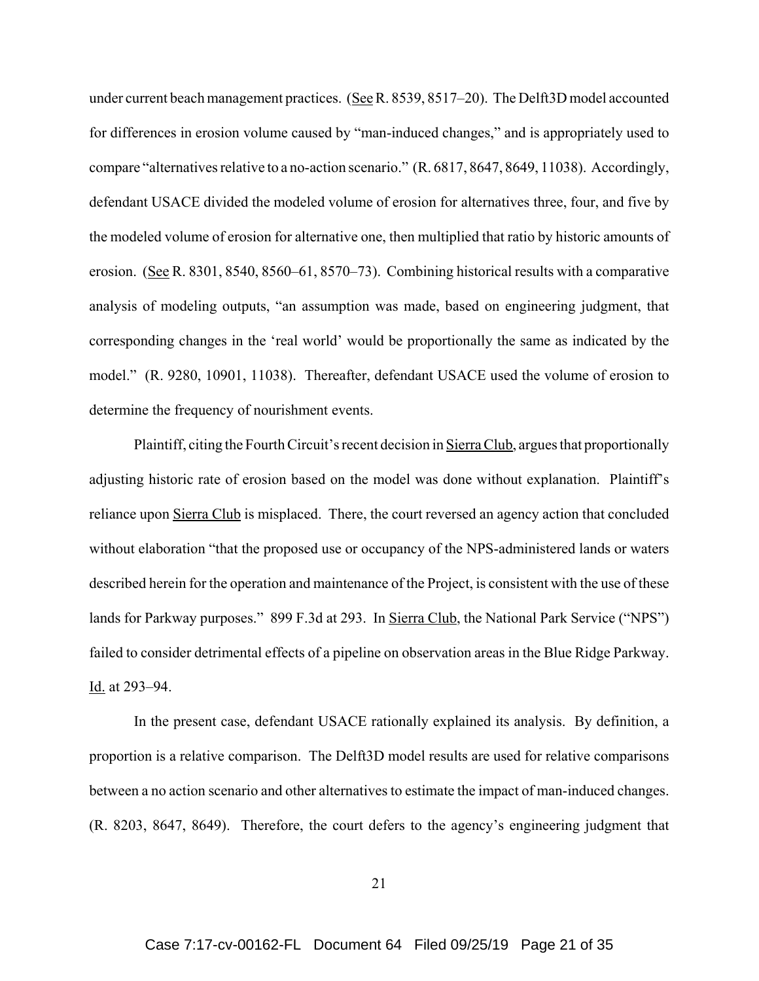under current beach management practices. (See R. 8539, 8517–20). The Delft3D model accounted for differences in erosion volume caused by "man-induced changes," and is appropriately used to compare "alternatives relative to a no-action scenario." (R. 6817, 8647, 8649, 11038). Accordingly, defendant USACE divided the modeled volume of erosion for alternatives three, four, and five by the modeled volume of erosion for alternative one, then multiplied that ratio by historic amounts of erosion. (See R. 8301, 8540, 8560–61, 8570–73). Combining historical results with a comparative analysis of modeling outputs, "an assumption was made, based on engineering judgment, that corresponding changes in the 'real world' would be proportionally the same as indicated by the model." (R. 9280, 10901, 11038). Thereafter, defendant USACE used the volume of erosion to determine the frequency of nourishment events.

Plaintiff, citing the Fourth Circuit's recent decision in Sierra Club, argues that proportionally adjusting historic rate of erosion based on the model was done without explanation. Plaintiff's reliance upon Sierra Club is misplaced. There, the court reversed an agency action that concluded without elaboration "that the proposed use or occupancy of the NPS-administered lands or waters described herein for the operation and maintenance of the Project, is consistent with the use of these lands for Parkway purposes." 899 F.3d at 293. In Sierra Club, the National Park Service ("NPS") failed to consider detrimental effects of a pipeline on observation areas in the Blue Ridge Parkway. Id. at 293–94.

In the present case, defendant USACE rationally explained its analysis. By definition, a proportion is a relative comparison. The Delft3D model results are used for relative comparisons between a no action scenario and other alternatives to estimate the impact of man-induced changes. (R. 8203, 8647, 8649). Therefore, the court defers to the agency's engineering judgment that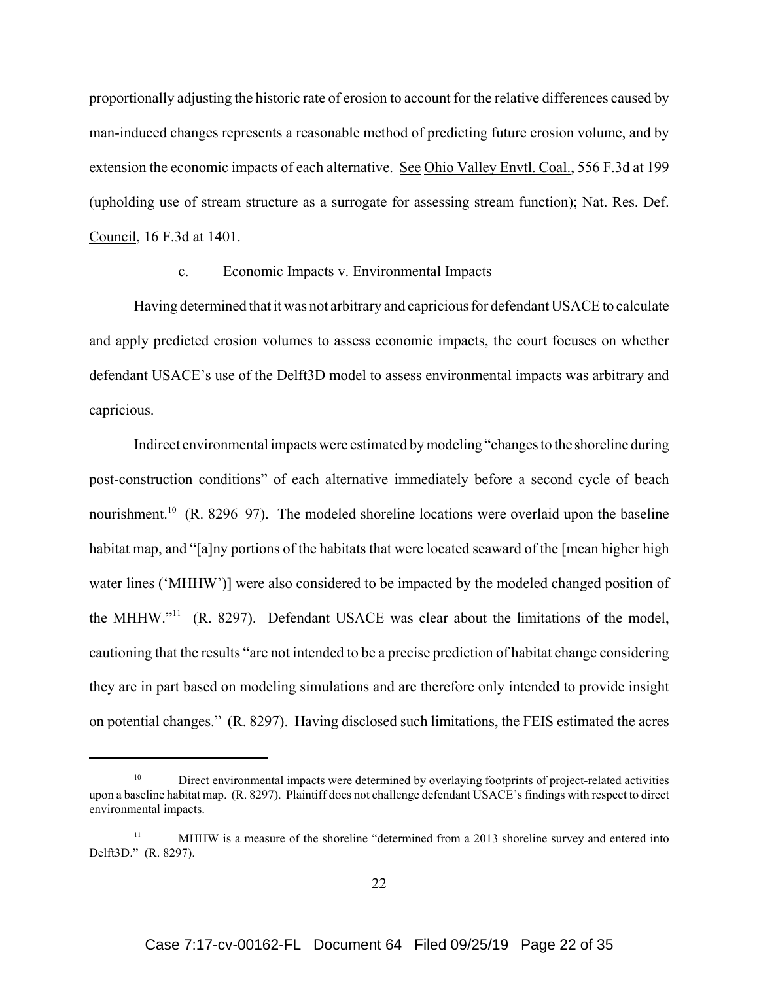proportionally adjusting the historic rate of erosion to account for the relative differences caused by man-induced changes represents a reasonable method of predicting future erosion volume, and by extension the economic impacts of each alternative. See Ohio Valley Envtl. Coal., 556 F.3d at 199 (upholding use of stream structure as a surrogate for assessing stream function); Nat. Res. Def. Council, 16 F.3d at 1401.

#### c. Economic Impacts v. Environmental Impacts

Having determined that it was not arbitrary and capricious for defendant USACE to calculate and apply predicted erosion volumes to assess economic impacts, the court focuses on whether defendant USACE's use of the Delft3D model to assess environmental impacts was arbitrary and capricious.

Indirect environmental impacts were estimated by modeling "changes to the shoreline during post-construction conditions" of each alternative immediately before a second cycle of beach nourishment.<sup>10</sup> (R. 8296–97). The modeled shoreline locations were overlaid upon the baseline habitat map, and "[a]ny portions of the habitats that were located seaward of the [mean higher high water lines ('MHHW')] were also considered to be impacted by the modeled changed position of the MHHW."11 (R. 8297). Defendant USACE was clear about the limitations of the model, cautioning that the results "are not intended to be a precise prediction of habitat change considering they are in part based on modeling simulations and are therefore only intended to provide insight on potential changes." (R. 8297). Having disclosed such limitations, the FEIS estimated the acres

<sup>10</sup> Direct environmental impacts were determined by overlaying footprints of project-related activities upon a baseline habitat map. (R. 8297). Plaintiff does not challenge defendant USACE's findings with respect to direct environmental impacts.

<sup>&</sup>lt;sup>11</sup> MHHW is a measure of the shoreline "determined from a 2013 shoreline survey and entered into Delft3D." (R. 8297).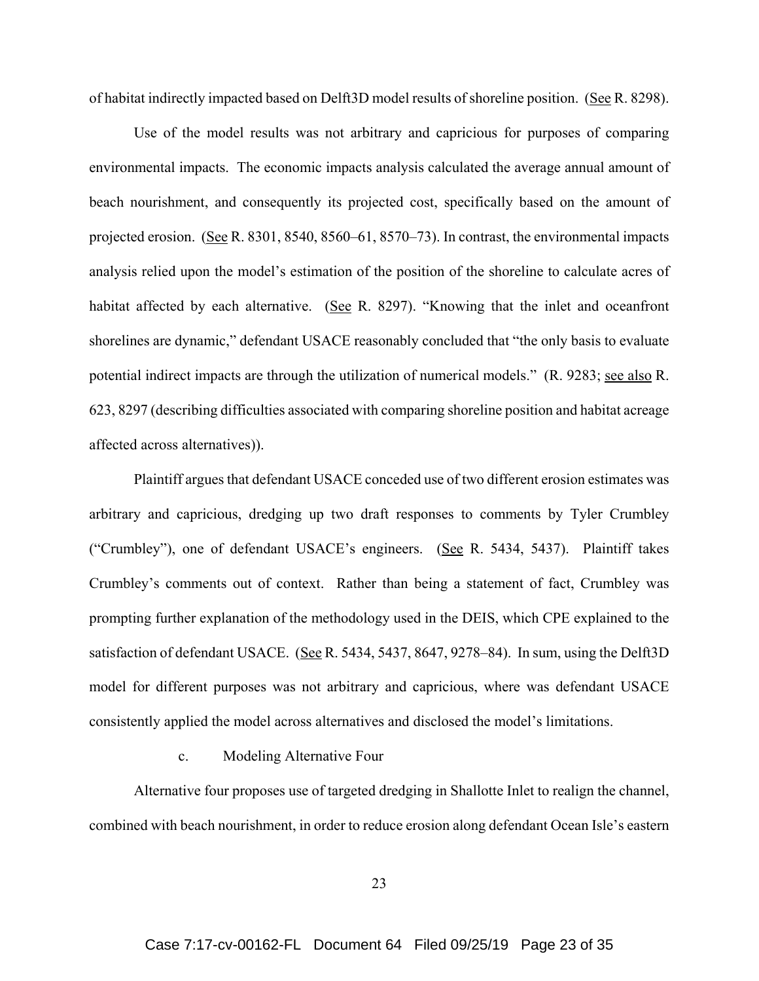of habitat indirectly impacted based on Delft3D model results of shoreline position. (See R. 8298).

Use of the model results was not arbitrary and capricious for purposes of comparing environmental impacts. The economic impacts analysis calculated the average annual amount of beach nourishment, and consequently its projected cost, specifically based on the amount of projected erosion. (See R. 8301, 8540, 8560–61, 8570–73). In contrast, the environmental impacts analysis relied upon the model's estimation of the position of the shoreline to calculate acres of habitat affected by each alternative. (See R. 8297). "Knowing that the inlet and oceanfront shorelines are dynamic," defendant USACE reasonably concluded that "the only basis to evaluate potential indirect impacts are through the utilization of numerical models." (R. 9283; see also R. 623, 8297 (describing difficulties associated with comparing shoreline position and habitat acreage affected across alternatives)).

Plaintiff argues that defendant USACE conceded use of two different erosion estimates was arbitrary and capricious, dredging up two draft responses to comments by Tyler Crumbley ("Crumbley"), one of defendant USACE's engineers. (See R. 5434, 5437). Plaintiff takes Crumbley's comments out of context. Rather than being a statement of fact, Crumbley was prompting further explanation of the methodology used in the DEIS, which CPE explained to the satisfaction of defendant USACE. (See R. 5434, 5437, 8647, 9278–84). In sum, using the Delft3D model for different purposes was not arbitrary and capricious, where was defendant USACE consistently applied the model across alternatives and disclosed the model's limitations.

## c. Modeling Alternative Four

Alternative four proposes use of targeted dredging in Shallotte Inlet to realign the channel, combined with beach nourishment, in order to reduce erosion along defendant Ocean Isle's eastern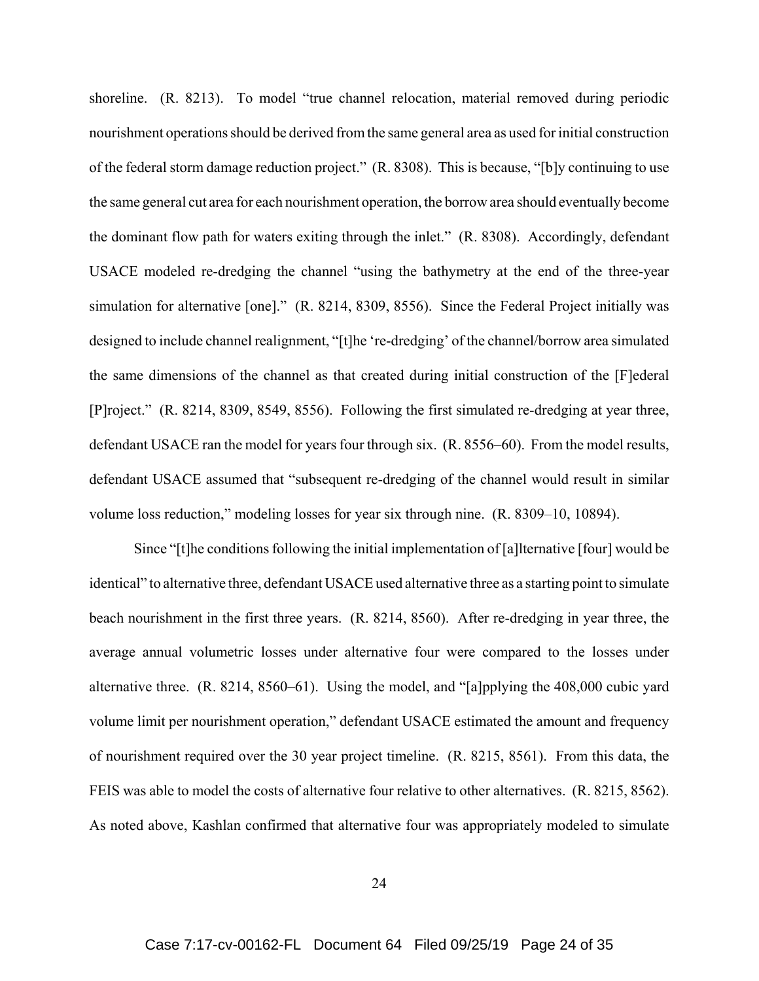shoreline. (R. 8213). To model "true channel relocation, material removed during periodic nourishment operations should be derived from the same general area as used for initial construction of the federal storm damage reduction project." (R. 8308). This is because, "[b]y continuing to use the same general cut area for each nourishment operation, the borrow area should eventually become the dominant flow path for waters exiting through the inlet." (R. 8308). Accordingly, defendant USACE modeled re-dredging the channel "using the bathymetry at the end of the three-year simulation for alternative [one]." (R. 8214, 8309, 8556). Since the Federal Project initially was designed to include channel realignment, "[t]he 're-dredging' of the channel/borrow area simulated the same dimensions of the channel as that created during initial construction of the [F]ederal [P]roject." (R. 8214, 8309, 8549, 8556). Following the first simulated re-dredging at year three, defendant USACE ran the model for years four through six. (R. 8556–60). From the model results, defendant USACE assumed that "subsequent re-dredging of the channel would result in similar volume loss reduction," modeling losses for year six through nine. (R. 8309–10, 10894).

Since "[t]he conditions following the initial implementation of [a]lternative [four] would be identical" to alternative three, defendant USACE used alternative three as a starting point to simulate beach nourishment in the first three years. (R. 8214, 8560). After re-dredging in year three, the average annual volumetric losses under alternative four were compared to the losses under alternative three. (R. 8214, 8560–61). Using the model, and "[a]pplying the 408,000 cubic yard volume limit per nourishment operation," defendant USACE estimated the amount and frequency of nourishment required over the 30 year project timeline. (R. 8215, 8561). From this data, the FEIS was able to model the costs of alternative four relative to other alternatives. (R. 8215, 8562). As noted above, Kashlan confirmed that alternative four was appropriately modeled to simulate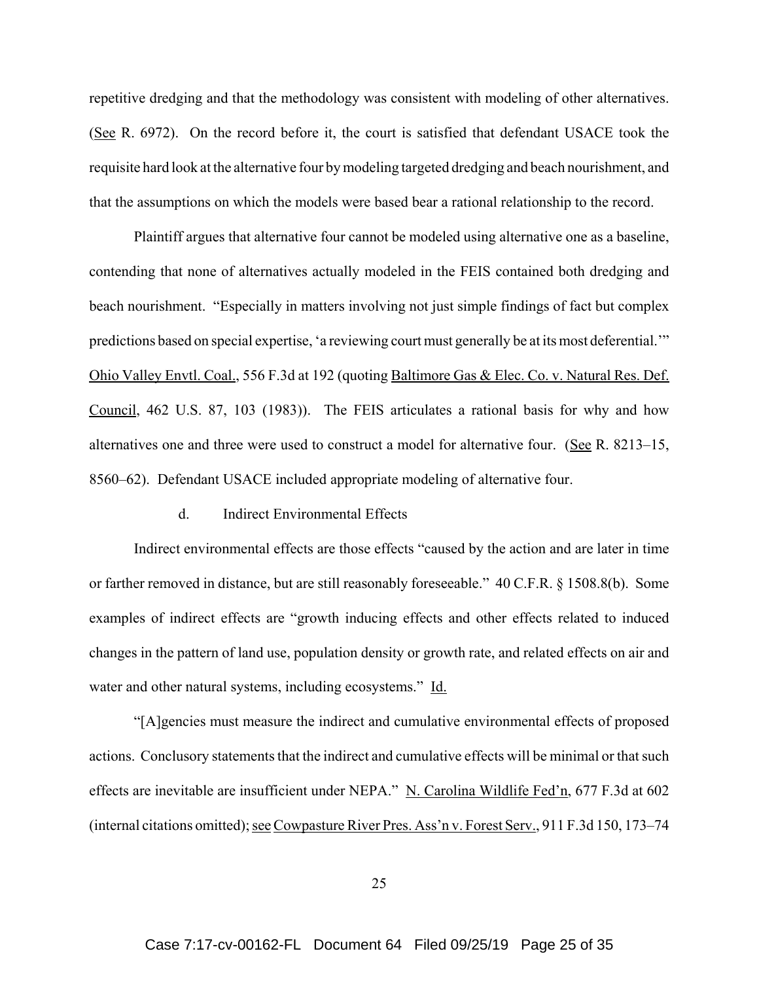repetitive dredging and that the methodology was consistent with modeling of other alternatives. (See R. 6972). On the record before it, the court is satisfied that defendant USACE took the requisite hard look at the alternative four by modeling targeted dredging and beach nourishment, and that the assumptions on which the models were based bear a rational relationship to the record.

Plaintiff argues that alternative four cannot be modeled using alternative one as a baseline, contending that none of alternatives actually modeled in the FEIS contained both dredging and beach nourishment. "Especially in matters involving not just simple findings of fact but complex predictions based on special expertise, 'a reviewing court must generally be at its most deferential.'" Ohio Valley Envtl. Coal., 556 F.3d at 192 (quoting Baltimore Gas & Elec. Co. v. Natural Res. Def. Council, 462 U.S. 87, 103 (1983)). The FEIS articulates a rational basis for why and how alternatives one and three were used to construct a model for alternative four. (See R. 8213–15, 8560–62). Defendant USACE included appropriate modeling of alternative four.

#### d. Indirect Environmental Effects

Indirect environmental effects are those effects "caused by the action and are later in time or farther removed in distance, but are still reasonably foreseeable." 40 C.F.R. § 1508.8(b). Some examples of indirect effects are "growth inducing effects and other effects related to induced changes in the pattern of land use, population density or growth rate, and related effects on air and water and other natural systems, including ecosystems." Id.

"[A]gencies must measure the indirect and cumulative environmental effects of proposed actions. Conclusory statements that the indirect and cumulative effects will be minimal or that such effects are inevitable are insufficient under NEPA." N. Carolina Wildlife Fed'n, 677 F.3d at 602 (internal citations omitted); see Cowpasture River Pres. Ass'n v. Forest Serv., 911 F.3d 150, 173–74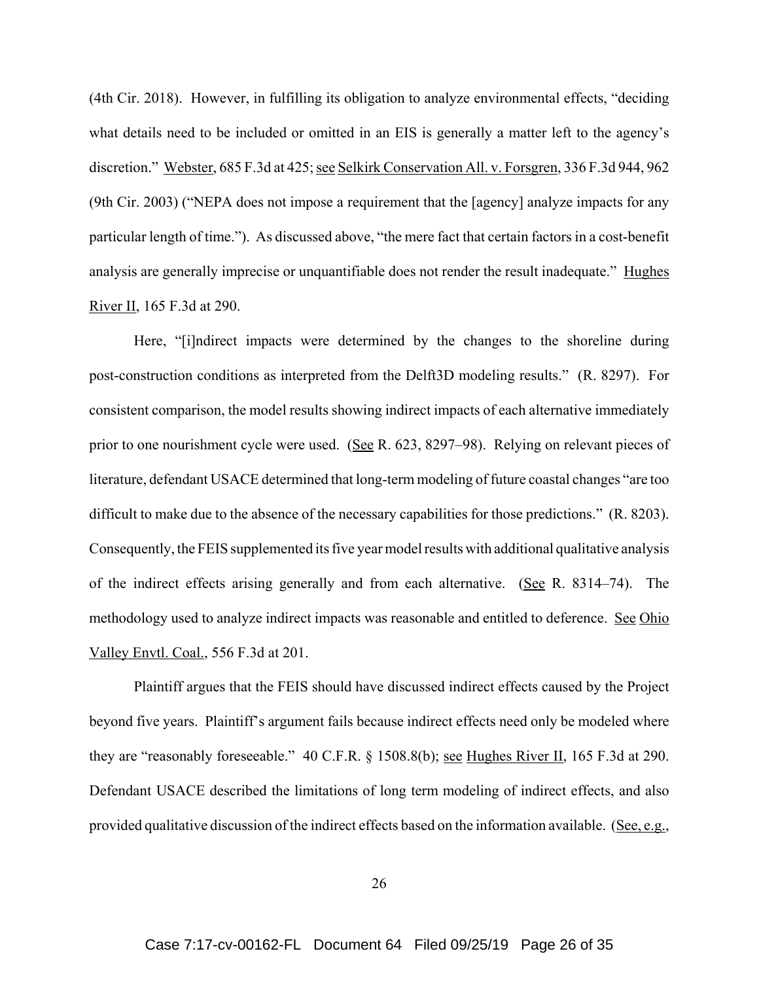(4th Cir. 2018). However, in fulfilling its obligation to analyze environmental effects, "deciding what details need to be included or omitted in an EIS is generally a matter left to the agency's discretion." Webster, 685 F.3d at 425; see Selkirk Conservation All. v. Forsgren, 336 F.3d 944, 962 (9th Cir. 2003) ("NEPA does not impose a requirement that the [agency] analyze impacts for any particular length of time."). As discussed above, "the mere fact that certain factors in a cost-benefit analysis are generally imprecise or unquantifiable does not render the result inadequate." Hughes River II, 165 F.3d at 290.

Here, "[i]ndirect impacts were determined by the changes to the shoreline during post-construction conditions as interpreted from the Delft3D modeling results." (R. 8297). For consistent comparison, the model results showing indirect impacts of each alternative immediately prior to one nourishment cycle were used. (See R. 623, 8297–98). Relying on relevant pieces of literature, defendant USACE determined that long-term modeling of future coastal changes "are too difficult to make due to the absence of the necessary capabilities for those predictions." (R. 8203). Consequently, the FEIS supplemented its five year model results with additional qualitative analysis of the indirect effects arising generally and from each alternative. (See R. 8314–74). The methodology used to analyze indirect impacts was reasonable and entitled to deference. See Ohio Valley Envtl. Coal., 556 F.3d at 201.

Plaintiff argues that the FEIS should have discussed indirect effects caused by the Project beyond five years. Plaintiff's argument fails because indirect effects need only be modeled where they are "reasonably foreseeable." 40 C.F.R. § 1508.8(b); see Hughes River II, 165 F.3d at 290. Defendant USACE described the limitations of long term modeling of indirect effects, and also provided qualitative discussion of the indirect effects based on the information available. (See, e.g.,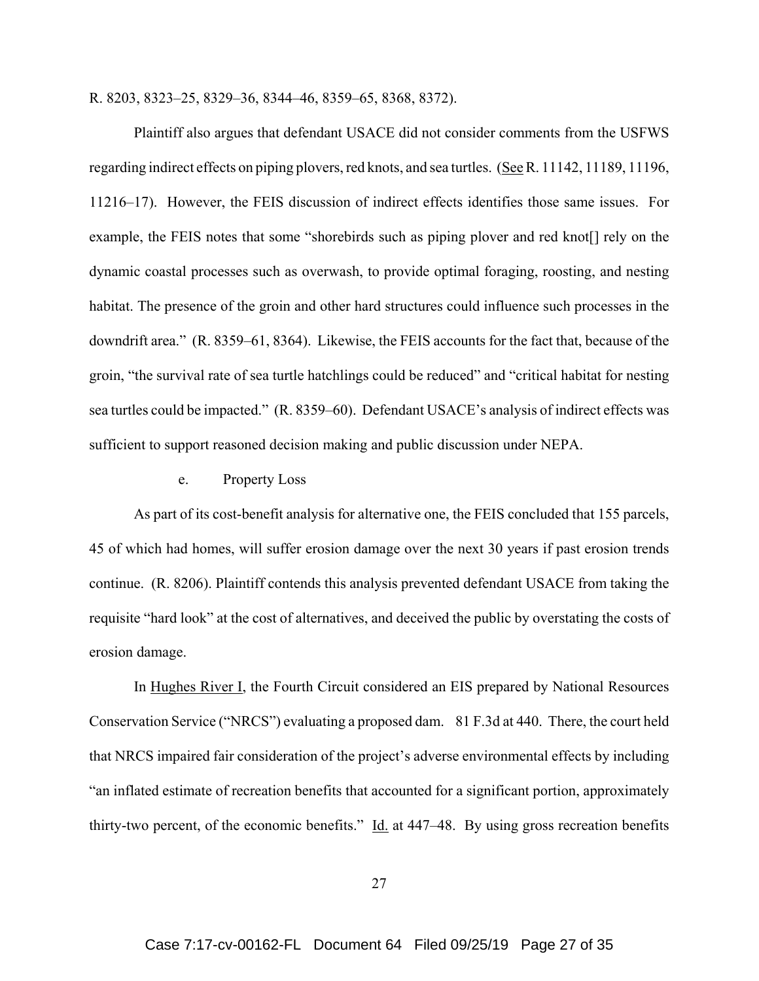R. 8203, 8323–25, 8329–36, 8344–46, 8359–65, 8368, 8372).

Plaintiff also argues that defendant USACE did not consider comments from the USFWS regarding indirect effects on piping plovers, red knots, and sea turtles. (See R. 11142, 11189, 11196, 11216–17). However, the FEIS discussion of indirect effects identifies those same issues. For example, the FEIS notes that some "shorebirds such as piping plover and red knot [] rely on the dynamic coastal processes such as overwash, to provide optimal foraging, roosting, and nesting habitat. The presence of the groin and other hard structures could influence such processes in the downdrift area." (R. 8359–61, 8364). Likewise, the FEIS accounts for the fact that, because of the groin, "the survival rate of sea turtle hatchlings could be reduced" and "critical habitat for nesting sea turtles could be impacted." (R. 8359–60). Defendant USACE's analysis of indirect effects was sufficient to support reasoned decision making and public discussion under NEPA.

## e. Property Loss

As part of its cost-benefit analysis for alternative one, the FEIS concluded that 155 parcels, 45 of which had homes, will suffer erosion damage over the next 30 years if past erosion trends continue. (R. 8206). Plaintiff contends this analysis prevented defendant USACE from taking the requisite "hard look" at the cost of alternatives, and deceived the public by overstating the costs of erosion damage.

In Hughes River I, the Fourth Circuit considered an EIS prepared by National Resources Conservation Service ("NRCS") evaluating a proposed dam. 81 F.3d at 440. There, the court held that NRCS impaired fair consideration of the project's adverse environmental effects by including "an inflated estimate of recreation benefits that accounted for a significant portion, approximately thirty-two percent, of the economic benefits."  $\underline{Id}$  at 447–48. By using gross recreation benefits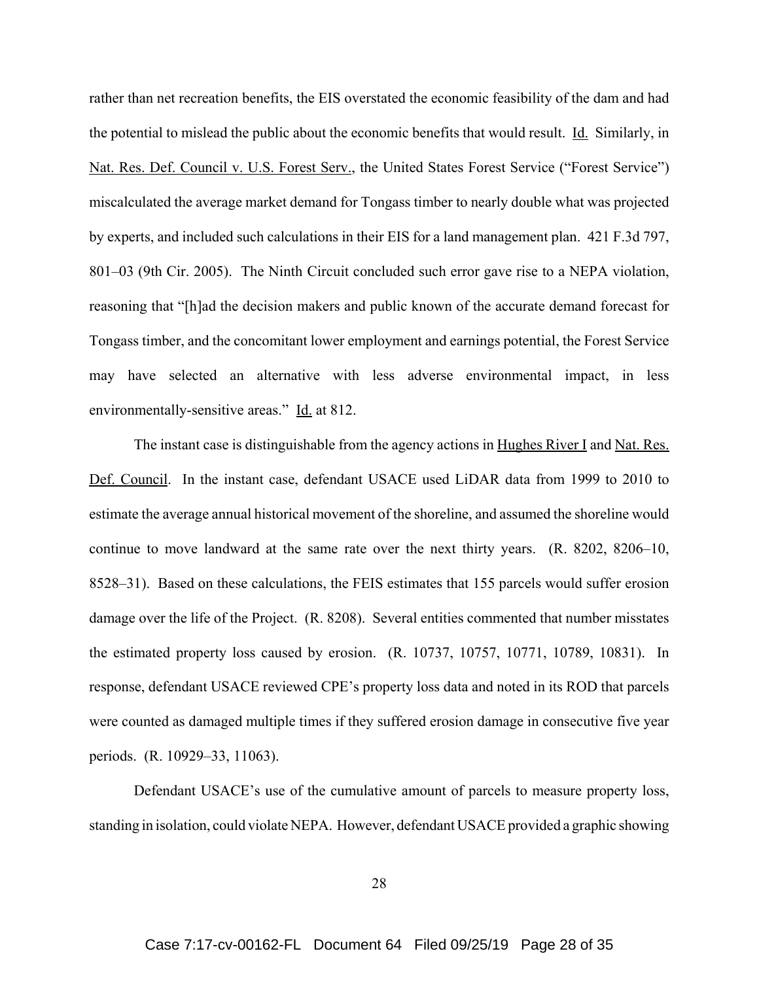rather than net recreation benefits, the EIS overstated the economic feasibility of the dam and had the potential to mislead the public about the economic benefits that would result. Id. Similarly, in Nat. Res. Def. Council v. U.S. Forest Serv., the United States Forest Service ("Forest Service") miscalculated the average market demand for Tongass timber to nearly double what was projected by experts, and included such calculations in their EIS for a land management plan. 421 F.3d 797, 801–03 (9th Cir. 2005). The Ninth Circuit concluded such error gave rise to a NEPA violation, reasoning that "[h]ad the decision makers and public known of the accurate demand forecast for Tongass timber, and the concomitant lower employment and earnings potential, the Forest Service may have selected an alternative with less adverse environmental impact, in less environmentally-sensitive areas." Id. at 812.

The instant case is distinguishable from the agency actions in Hughes River I and Nat. Res. Def. Council. In the instant case, defendant USACE used LiDAR data from 1999 to 2010 to estimate the average annual historical movement of the shoreline, and assumed the shoreline would continue to move landward at the same rate over the next thirty years. (R. 8202, 8206–10, 8528–31). Based on these calculations, the FEIS estimates that 155 parcels would suffer erosion damage over the life of the Project. (R. 8208). Several entities commented that number misstates the estimated property loss caused by erosion. (R. 10737, 10757, 10771, 10789, 10831). In response, defendant USACE reviewed CPE's property loss data and noted in its ROD that parcels were counted as damaged multiple times if they suffered erosion damage in consecutive five year periods. (R. 10929–33, 11063).

Defendant USACE's use of the cumulative amount of parcels to measure property loss, standing in isolation, could violate NEPA. However, defendant USACE provided a graphic showing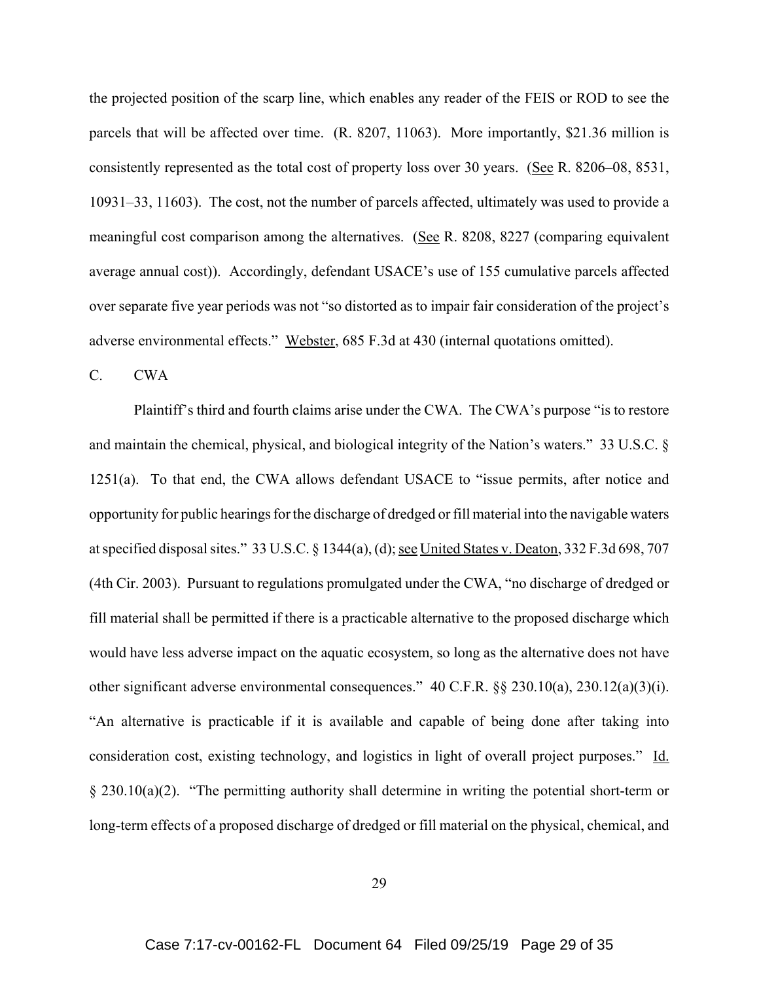the projected position of the scarp line, which enables any reader of the FEIS or ROD to see the parcels that will be affected over time. (R. 8207, 11063). More importantly, \$21.36 million is consistently represented as the total cost of property loss over 30 years. (See R. 8206–08, 8531, 10931–33, 11603). The cost, not the number of parcels affected, ultimately was used to provide a meaningful cost comparison among the alternatives. (See R. 8208, 8227 (comparing equivalent average annual cost)). Accordingly, defendant USACE's use of 155 cumulative parcels affected over separate five year periods was not "so distorted as to impair fair consideration of the project's adverse environmental effects." Webster, 685 F.3d at 430 (internal quotations omitted).

C. CWA

Plaintiff's third and fourth claims arise under the CWA. The CWA's purpose "is to restore and maintain the chemical, physical, and biological integrity of the Nation's waters." 33 U.S.C. § 1251(a). To that end, the CWA allows defendant USACE to "issue permits, after notice and opportunity for public hearings for the discharge of dredged or fill material into the navigable waters at specified disposal sites." 33 U.S.C. § 1344(a), (d); see United States v. Deaton, 332 F.3d 698, 707 (4th Cir. 2003). Pursuant to regulations promulgated under the CWA, "no discharge of dredged or fill material shall be permitted if there is a practicable alternative to the proposed discharge which would have less adverse impact on the aquatic ecosystem, so long as the alternative does not have other significant adverse environmental consequences." 40 C.F.R. §§ 230.10(a), 230.12(a)(3)(i). "An alternative is practicable if it is available and capable of being done after taking into consideration cost, existing technology, and logistics in light of overall project purposes." Id. § 230.10(a)(2). "The permitting authority shall determine in writing the potential short-term or long-term effects of a proposed discharge of dredged or fill material on the physical, chemical, and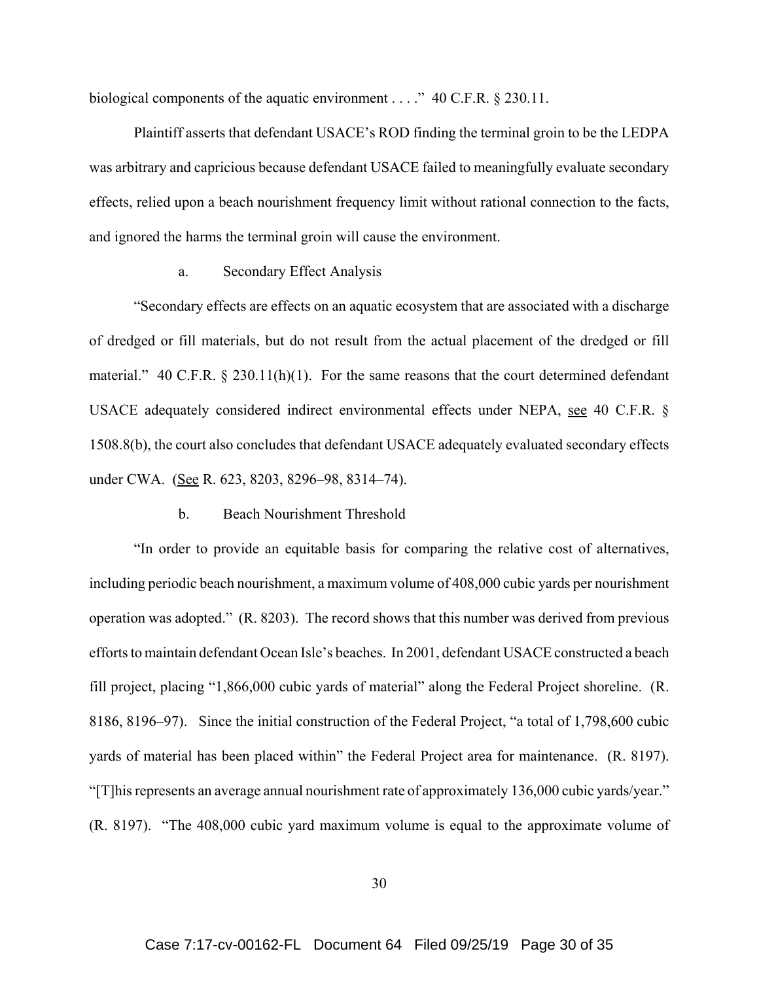biological components of the aquatic environment . . . ." 40 C.F.R. § 230.11.

Plaintiff asserts that defendant USACE's ROD finding the terminal groin to be the LEDPA was arbitrary and capricious because defendant USACE failed to meaningfully evaluate secondary effects, relied upon a beach nourishment frequency limit without rational connection to the facts, and ignored the harms the terminal groin will cause the environment.

#### a. Secondary Effect Analysis

"Secondary effects are effects on an aquatic ecosystem that are associated with a discharge of dredged or fill materials, but do not result from the actual placement of the dredged or fill material." 40 C.F.R.  $\S 230.11(h)(1)$ . For the same reasons that the court determined defendant USACE adequately considered indirect environmental effects under NEPA, see 40 C.F.R. § 1508.8(b), the court also concludes that defendant USACE adequately evaluated secondary effects under CWA. (See R. 623, 8203, 8296–98, 8314–74).

#### b. Beach Nourishment Threshold

"In order to provide an equitable basis for comparing the relative cost of alternatives, including periodic beach nourishment, a maximum volume of 408,000 cubic yards per nourishment operation was adopted." (R. 8203). The record shows that this number was derived from previous efforts to maintain defendant Ocean Isle's beaches. In 2001, defendant USACE constructed a beach fill project, placing "1,866,000 cubic yards of material" along the Federal Project shoreline. (R. 8186, 8196–97). Since the initial construction of the Federal Project, "a total of 1,798,600 cubic yards of material has been placed within" the Federal Project area for maintenance. (R. 8197). "[T]his represents an average annual nourishment rate of approximately 136,000 cubic yards/year." (R. 8197). "The 408,000 cubic yard maximum volume is equal to the approximate volume of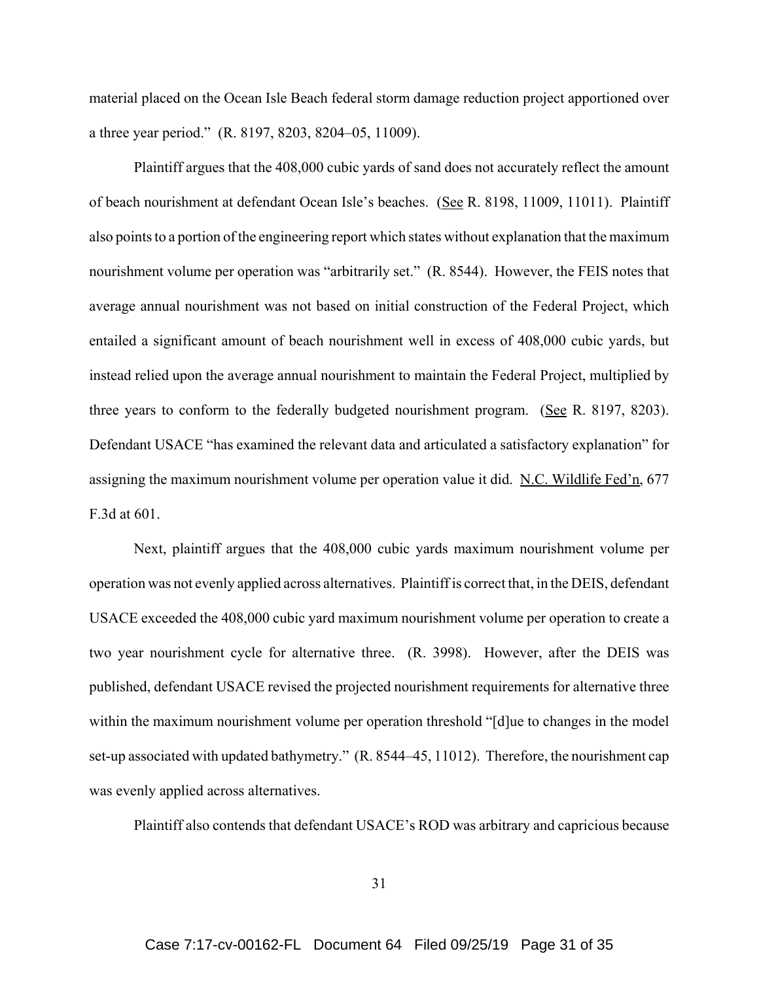material placed on the Ocean Isle Beach federal storm damage reduction project apportioned over a three year period." (R. 8197, 8203, 8204–05, 11009).

Plaintiff argues that the 408,000 cubic yards of sand does not accurately reflect the amount of beach nourishment at defendant Ocean Isle's beaches. (See R. 8198, 11009, 11011). Plaintiff also points to a portion of the engineering report which states without explanation that the maximum nourishment volume per operation was "arbitrarily set." (R. 8544). However, the FEIS notes that average annual nourishment was not based on initial construction of the Federal Project, which entailed a significant amount of beach nourishment well in excess of 408,000 cubic yards, but instead relied upon the average annual nourishment to maintain the Federal Project, multiplied by three years to conform to the federally budgeted nourishment program. (See R. 8197, 8203). Defendant USACE "has examined the relevant data and articulated a satisfactory explanation" for assigning the maximum nourishment volume per operation value it did. N.C. Wildlife Fed'n, 677 F.3d at 601.

Next, plaintiff argues that the 408,000 cubic yards maximum nourishment volume per operation was not evenly applied across alternatives. Plaintiff is correct that, in the DEIS, defendant USACE exceeded the 408,000 cubic yard maximum nourishment volume per operation to create a two year nourishment cycle for alternative three. (R. 3998). However, after the DEIS was published, defendant USACE revised the projected nourishment requirements for alternative three within the maximum nourishment volume per operation threshold "[d]ue to changes in the model set-up associated with updated bathymetry." (R. 8544–45, 11012). Therefore, the nourishment cap was evenly applied across alternatives.

Plaintiff also contends that defendant USACE's ROD was arbitrary and capricious because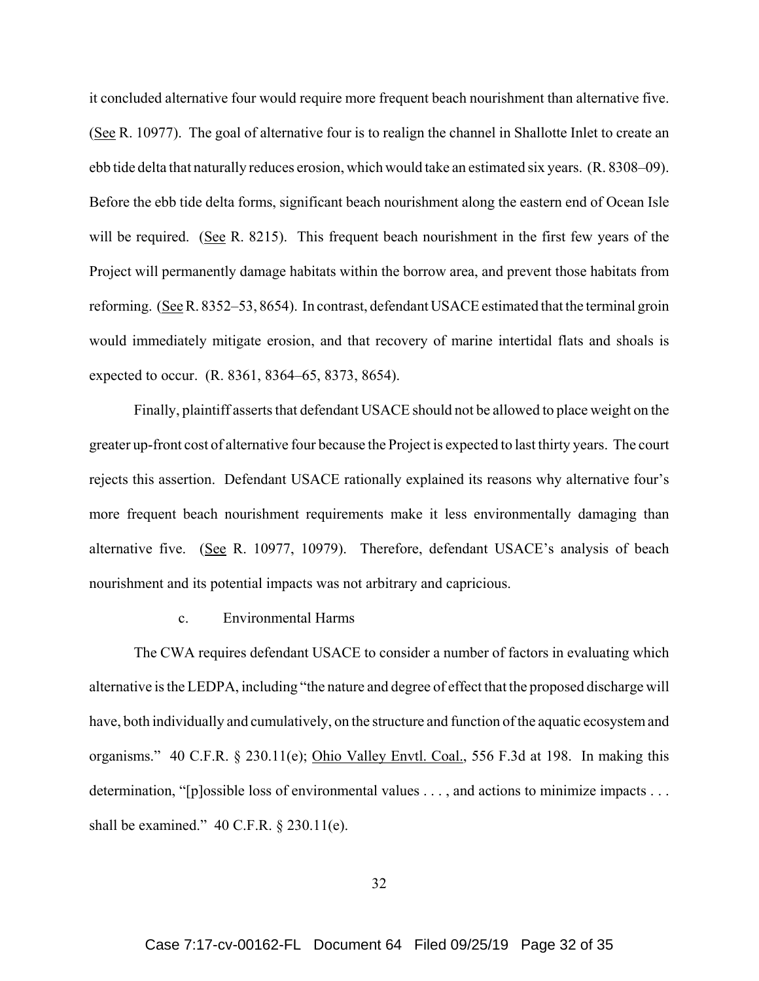it concluded alternative four would require more frequent beach nourishment than alternative five. (See R. 10977). The goal of alternative four is to realign the channel in Shallotte Inlet to create an ebb tide delta that naturally reduces erosion, which would take an estimated six years. (R. 8308–09). Before the ebb tide delta forms, significant beach nourishment along the eastern end of Ocean Isle will be required. (See R. 8215). This frequent beach nourishment in the first few years of the Project will permanently damage habitats within the borrow area, and prevent those habitats from reforming. (See R. 8352–53, 8654). In contrast, defendant USACE estimated that the terminal groin would immediately mitigate erosion, and that recovery of marine intertidal flats and shoals is expected to occur. (R. 8361, 8364–65, 8373, 8654).

Finally, plaintiff asserts that defendant USACE should not be allowed to place weight on the greater up-front cost of alternative four because the Project is expected to last thirty years. The court rejects this assertion. Defendant USACE rationally explained its reasons why alternative four's more frequent beach nourishment requirements make it less environmentally damaging than alternative five. (See R. 10977, 10979). Therefore, defendant USACE's analysis of beach nourishment and its potential impacts was not arbitrary and capricious.

#### c. Environmental Harms

The CWA requires defendant USACE to consider a number of factors in evaluating which alternative is the LEDPA, including "the nature and degree of effect that the proposed discharge will have, both individually and cumulatively, on the structure and function of the aquatic ecosystem and organisms." 40 C.F.R. § 230.11(e); Ohio Valley Envtl. Coal., 556 F.3d at 198. In making this determination, "[p]ossible loss of environmental values . . . , and actions to minimize impacts . . . shall be examined."  $40$  C.F.R. § 230.11(e).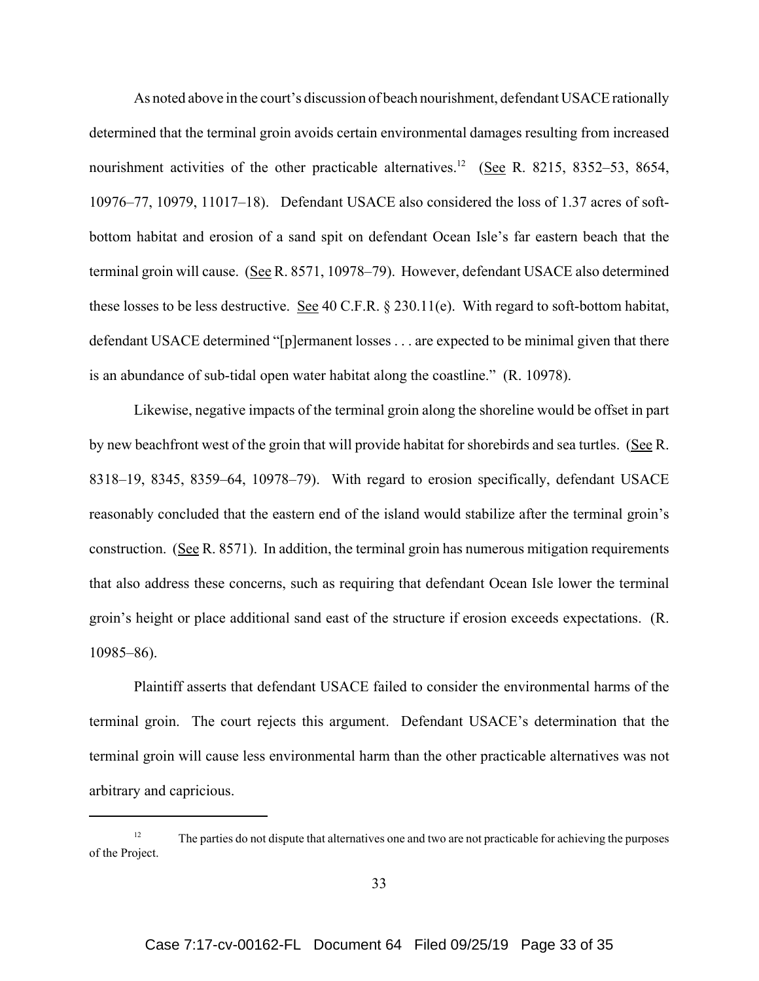As noted above in the court's discussion of beach nourishment, defendant USACE rationally determined that the terminal groin avoids certain environmental damages resulting from increased nourishment activities of the other practicable alternatives.<sup>12</sup> (See R. 8215, 8352–53, 8654, 10976–77, 10979, 11017–18). Defendant USACE also considered the loss of 1.37 acres of softbottom habitat and erosion of a sand spit on defendant Ocean Isle's far eastern beach that the terminal groin will cause. (See R. 8571, 10978–79). However, defendant USACE also determined these losses to be less destructive. See 40 C.F.R. § 230.11(e). With regard to soft-bottom habitat, defendant USACE determined "[p]ermanent losses . . . are expected to be minimal given that there is an abundance of sub-tidal open water habitat along the coastline." (R. 10978).

Likewise, negative impacts of the terminal groin along the shoreline would be offset in part by new beachfront west of the groin that will provide habitat for shorebirds and sea turtles. (See R. 8318–19, 8345, 8359–64, 10978–79). With regard to erosion specifically, defendant USACE reasonably concluded that the eastern end of the island would stabilize after the terminal groin's construction. (See R. 8571). In addition, the terminal groin has numerous mitigation requirements that also address these concerns, such as requiring that defendant Ocean Isle lower the terminal groin's height or place additional sand east of the structure if erosion exceeds expectations. (R. 10985–86).

Plaintiff asserts that defendant USACE failed to consider the environmental harms of the terminal groin. The court rejects this argument. Defendant USACE's determination that the terminal groin will cause less environmental harm than the other practicable alternatives was not arbitrary and capricious.

<sup>&</sup>lt;sup>12</sup> The parties do not dispute that alternatives one and two are not practicable for achieving the purposes of the Project.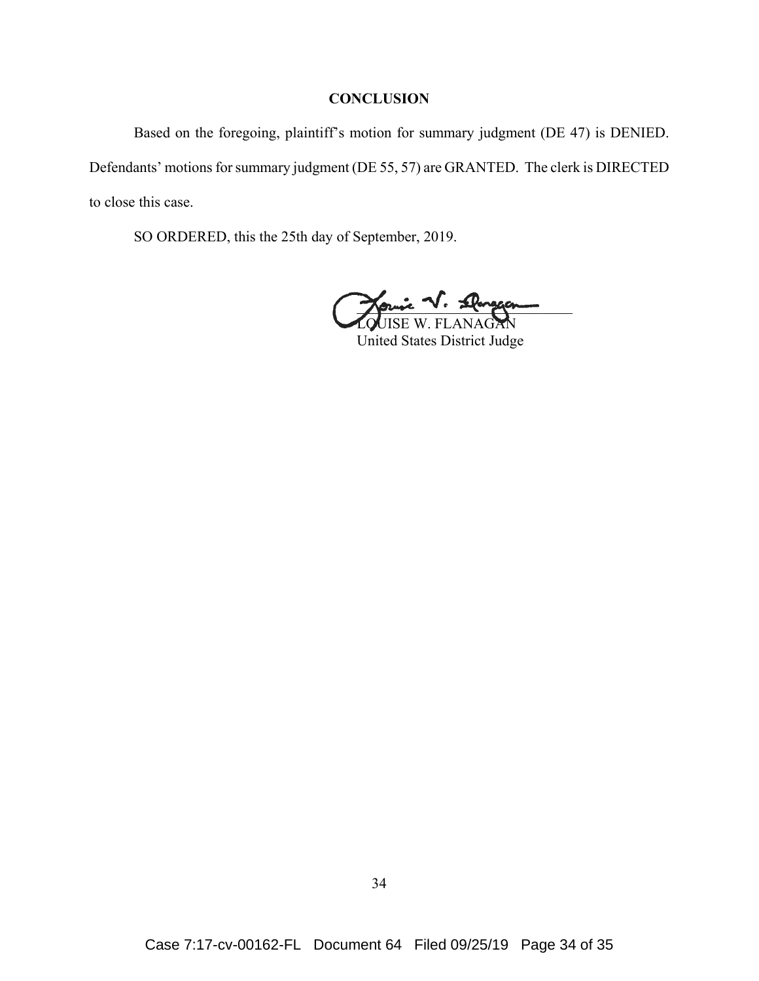## **CONCLUSION**

Based on the foregoing, plaintiff's motion for summary judgment (DE 47) is DENIED. Defendants' motions for summary judgment (DE 55, 57) are GRANTED. The clerk is DIRECTED to close this case.

SO ORDERED, this the 25th day of September, 2019.

Journe V. Stargeon LOUISE W. FLANAGAN

United States District Judge